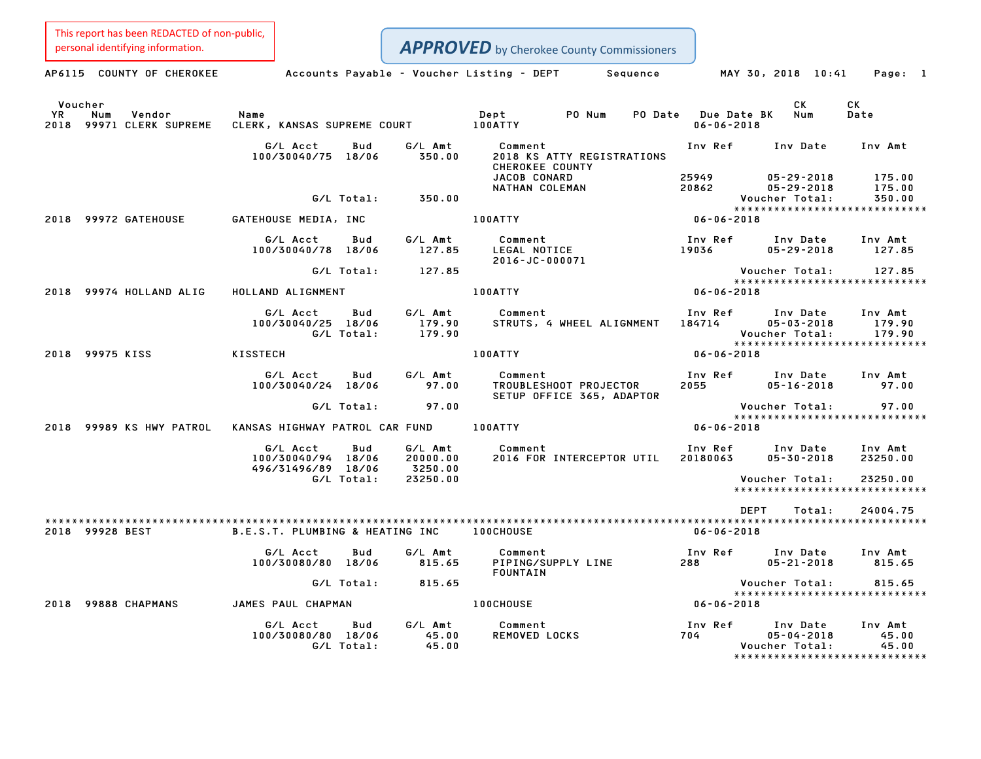|                   | This report has been REDACTED of non-public,<br>personal identifying information. |                                                      |                   |                                | <b>APPROVED</b> by Cherokee County Commissioners               |                                 |                                                        |                                                            |
|-------------------|-----------------------------------------------------------------------------------|------------------------------------------------------|-------------------|--------------------------------|----------------------------------------------------------------|---------------------------------|--------------------------------------------------------|------------------------------------------------------------|
|                   | AP6115 COUNTY OF CHEROKEE                                                         |                                                      |                   |                                | Accounts Payable - Voucher Listing - DEPT<br>Sequence          |                                 | MAY 30, 2018 10:41                                     | Page: 1                                                    |
| <b>YR</b><br>2018 | Voucher<br>Num<br>Vendor<br>99971 CLERK SUPREME                                   | Name<br>CLERK, KANSAS SUPREME COURT                  |                   |                                | Dept<br>PO Num<br>PO Date<br>100ATTY                           | Due Date BK<br>$06 - 06 - 2018$ | СK<br>Num                                              | CK<br>Date                                                 |
|                   |                                                                                   | G/L Acct<br>100/30040/75 18/06                       | Bud               | G/L Amt<br>350.00              | Comment<br>2018 KS ATTY REGISTRATIONS<br>CHEROKEE COUNTY       | Inv Ref                         | Inv Date                                               | Inv Amt                                                    |
|                   |                                                                                   |                                                      | G/L Total:        | 350.00                         | JACOB CONARD<br>NATHAN COLEMAN                                 | 25949<br>20862                  | $05 - 29 - 2018$<br>$05 - 29 - 2018$<br>Voucher Total: | 175.00<br>175.00<br>350.00                                 |
| 2018              | 99972 GATEHOUSE                                                                   | GATEHOUSE MEDIA, INC                                 |                   |                                | 100ATTY                                                        | $06 - 06 - 2018$                |                                                        | *****************************                              |
|                   |                                                                                   | G/L Acct<br>100/30040/78                             | Bud<br>18/06      | G/L Amt<br>127.85              | Comment<br>LEGAL NOTICE<br>2016-JC-000071                      | Inv Ref<br>19036                | Inv Date<br>$05 - 29 - 2018$                           | Inv Amt<br>127.85                                          |
|                   |                                                                                   |                                                      | G/L Total:        | 127.85                         |                                                                |                                 | Voucher Total:                                         | 127.85<br>*****************************                    |
| 2018              | 99974 HOLLAND ALIG                                                                | HOLLAND ALIGNMENT                                    |                   |                                | 100ATTY                                                        | $06 - 06 - 2018$                |                                                        |                                                            |
|                   |                                                                                   | G/L Acct<br>100/30040/25 18/06                       | Bud<br>G/L Total: | G/L Amt<br>179.90<br>179.90    | Comment<br>STRUTS, 4 WHEEL ALIGNMENT                           | Inv Ref<br>184714               | Inv Date<br>$05 - 03 - 2018$<br>Voucher Total:         | Inv Amt<br>179.90<br>179.90                                |
| 2018              | 99975 KISS                                                                        | KISSTECH                                             |                   |                                | 100ATTY                                                        | $06 - 06 - 2018$                |                                                        | *****************************                              |
|                   |                                                                                   | G/L Acct<br>100/30040/24 18/06                       | Bud               | G/L Amt<br>97.00               | Comment<br>TROUBLESHOOT PROJECTOR<br>SETUP OFFICE 365, ADAPTOR | Inv Ref<br>2055                 | Inv Date<br>$05 - 16 - 2018$                           | Inv Amt<br>97.00                                           |
|                   |                                                                                   |                                                      | G/L Total:        | 97.00                          |                                                                |                                 | Voucher Total:                                         | 97.00<br>*****************************                     |
| 2018              | 99989 KS HWY PATROL                                                               | KANSAS HIGHWAY PATROL CAR FUND                       |                   |                                | 100ATTY                                                        | $06 - 06 - 2018$                |                                                        |                                                            |
|                   |                                                                                   | G/L Acct<br>100/30040/94 18/06<br>496/31496/89 18/06 | Bud               | G/L Amt<br>20000.00<br>3250.00 | Comment<br>2016 FOR INTERCEPTOR UTIL                           | Inv Ref<br>20180063             | Inv Date<br>$05 - 30 - 2018$                           | Inv Amt<br>23250.00                                        |
|                   |                                                                                   |                                                      | G/L Total:        | 23250.00                       |                                                                |                                 | Voucher Total:                                         | 23250.00<br>*****************************                  |
|                   |                                                                                   |                                                      |                   |                                |                                                                | <b>DEPT</b>                     | Total:                                                 | 24004.75                                                   |
|                   | 2018 99928 BEST                                                                   | B.E.S.T. PLUMBING & HEATING INC                      |                   |                                | 100CHOUSE                                                      | $06 - 06 - 2018$                |                                                        |                                                            |
|                   |                                                                                   | G/L Acct<br>100/30080/80 18/06                       | Bud               | G/L Amt<br>815.65              | Comment<br>PIPING/SUPPLY LINE<br>FOUNTAIN                      | Inv Ref<br>288                  | Inv Date<br>$05 - 21 - 2018$                           | Inv Amt<br>815.65                                          |
|                   |                                                                                   |                                                      | G/L Total:        | 815.65                         |                                                                |                                 | Voucher Total:                                         | 815.65<br>*****************************                    |
| 2018              | 99888 CHAPMANS                                                                    | JAMES PAUL CHAPMAN                                   |                   |                                | <b>100CHOUSE</b>                                               | $06 - 06 - 2018$                |                                                        |                                                            |
|                   |                                                                                   | G/L Acct<br>100/30080/80 18/06                       | Bud<br>G/L Total: | G/L Amt<br>45.00<br>45.00      | Comment<br>REMOVED LOCKS                                       | Inv Ref<br>704                  | Inv Date<br>$05 - 04 - 2018$<br>Voucher Total:         | Inv Amt<br>45.00<br>45.00<br>***************************** |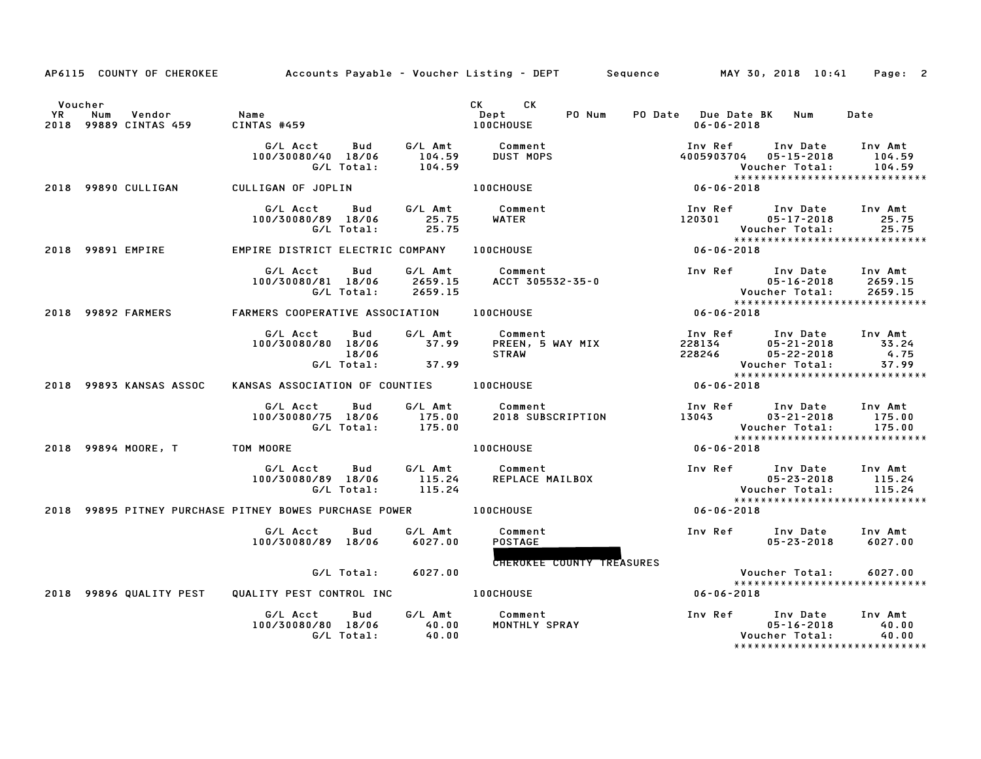|    | AP6115 COUNTY OF CHEROKEE                         |                                                              |                               | Accounts Payable – Voucher Listing – DEPT       Sequence         MAY 30, 2018 10:41 |                                             |                                                        | Page: 2                                                        |
|----|---------------------------------------------------|--------------------------------------------------------------|-------------------------------|-------------------------------------------------------------------------------------|---------------------------------------------|--------------------------------------------------------|----------------------------------------------------------------|
| YR | Voucher<br>Num<br>Vendor<br>2018 99889 CINTAS 459 | Name<br>CINTAS #459                                          |                               | CK C<br>CK<br>PO Num<br>Dept<br>100CHOUSE                                           | PO Date Due Date BK Num<br>$06 - 06 - 2018$ |                                                        | Date                                                           |
|    |                                                   | G/L Acct<br>Bud<br>100/30080/40 18/06<br>G/L Total:          | G/L Amt<br>104.59<br>104.59   | Comment<br><b>DUST MOPS</b>                                                         | Inv Ref<br>4005903704 05-15-2018            | Inv Date<br>Voucher Total:                             | Inv Amt<br>104.59<br>104.59                                    |
|    | 2018 99890 CULLIGAN                               | CULLIGAN OF JOPLIN                                           |                               | <b>100CHOUSE</b>                                                                    | 06-06-2018                                  |                                                        | *****************************                                  |
|    |                                                   | G/L Acct<br>Bud<br>100/30080/89 18/06<br>G/L Total:          | G/L Amt<br>25.75<br>25.75     | Comment<br><b>WATER</b>                                                             | Inv Ref Inv Date<br>120301 05-17-2018       | Voucher Total:                                         | Inv Amt<br>25.75<br>25.75                                      |
|    | 2018 99891 EMPIRE                                 | EMPIRE DISTRICT ELECTRIC COMPANY                             |                               | 100CHOUSE                                                                           | $06 - 06 - 2018$                            |                                                        | ******************************                                 |
|    |                                                   | G/L Acct<br>Bud<br>100/30080/81 18/06<br>G/L Total:          | G/L Amt<br>2659.15<br>2659.15 | Comment<br>ACCT 305532-35-0                                                         | Inv Ref Inv Date                            | $05 - 16 - 2018$                                       | Inv Amt<br>2659.15<br>2659.15<br>***************************** |
|    | 2018 99892 FARMERS                                | FARMERS COOPERATIVE ASSOCIATION                              |                               | <b>100CHOUSE</b>                                                                    | $06 - 06 - 2018$                            |                                                        |                                                                |
|    |                                                   | G/L Acct<br>Bud<br>100/30080/80 18/06<br>18/06<br>G/L Total: | G/L Amt<br>37.99<br>37.99     | Comment<br>PREEN, 5 WAY MIX<br><b>STRAW</b>                                         | Inv Ref      Inv Date<br>228134<br>228246   | $05 - 21 - 2018$<br>$05 - 22 - 2018$<br>Voucher Total: | Inv Amt<br>33.24<br>4.75<br>37.99                              |
|    | 2018 99893 KANSAS ASSOC                           | KANSAS ASSOCIATION OF COUNTIES 100CHOUSE                     |                               |                                                                                     | $06 - 06 - 2018$                            |                                                        | *****************************                                  |
|    |                                                   | G/L Acct<br>Bud<br>100/30080/75 18/06<br>G/L Total:          | 175.00<br>175.00              | G/L Amt Comment<br>2018 SUBSCRIPTION                                                | Inv Ref Inv Date<br>13043                   | $03 - 21 - 2018$<br>Voucher Total:                     | Inv Amt<br>175.00<br>175.00<br>*****************************   |
|    | 2018 99894 MOORE, T TOM MOORE                     |                                                              |                               | <b>100CHOUSE</b>                                                                    | $06 - 06 - 2018$                            |                                                        |                                                                |
|    |                                                   | G/L Acct<br><b>Bud</b><br>100/30080/89 18/06<br>G/L Total:   | 115.24<br>115.24              | G/L Amt Comment<br>REPLACE MAILBOX                                                  |                                             | Inv Ref Inv Date<br>$05 - 23 - 2018$<br>Voucher Total: | Inv Amt<br>115.24<br>115.24                                    |
|    |                                                   | 2018 99895 PITNEY PURCHASE PITNEY BOWES PURCHASE POWER       |                               | <b>100CHOUSE</b>                                                                    | $06 - 06 - 2018$                            |                                                        | *****************************                                  |
|    |                                                   | G/L Acct<br>Bud<br>100/30080/89 18/06                        | G/L Amt<br>6027.00            | Comment<br><b>POSTAGE</b>                                                           |                                             | Inv Ref Inv Date<br>$05 - 23 - 2018$                   | Inv Amt<br>6027.00                                             |
|    |                                                   | G/L Total:                                                   | 6027.00                       | <b>CHEROKEE COUNTY TREASURES</b>                                                    |                                             | Voucher Total:                                         | 6027.00<br>******************************                      |
|    | 2018 99896 QUALITY PEST                           | QUALITY PEST CONTROL INC                                     |                               | <b>100CHOUSE</b>                                                                    | $06 - 06 - 2018$                            |                                                        |                                                                |
|    |                                                   | G/L Acct<br>Bud<br>100/30080/80 18/06<br>G/L Total:          | G/L Amt<br>40.00<br>40.00     | Comment<br>MONTHLY SPRAY                                                            | Inv Ref Inv Date                            | $05 - 16 - 2018$<br>Voucher Total:                     | Inv Amt<br>40.00<br>40.00<br>*****************************     |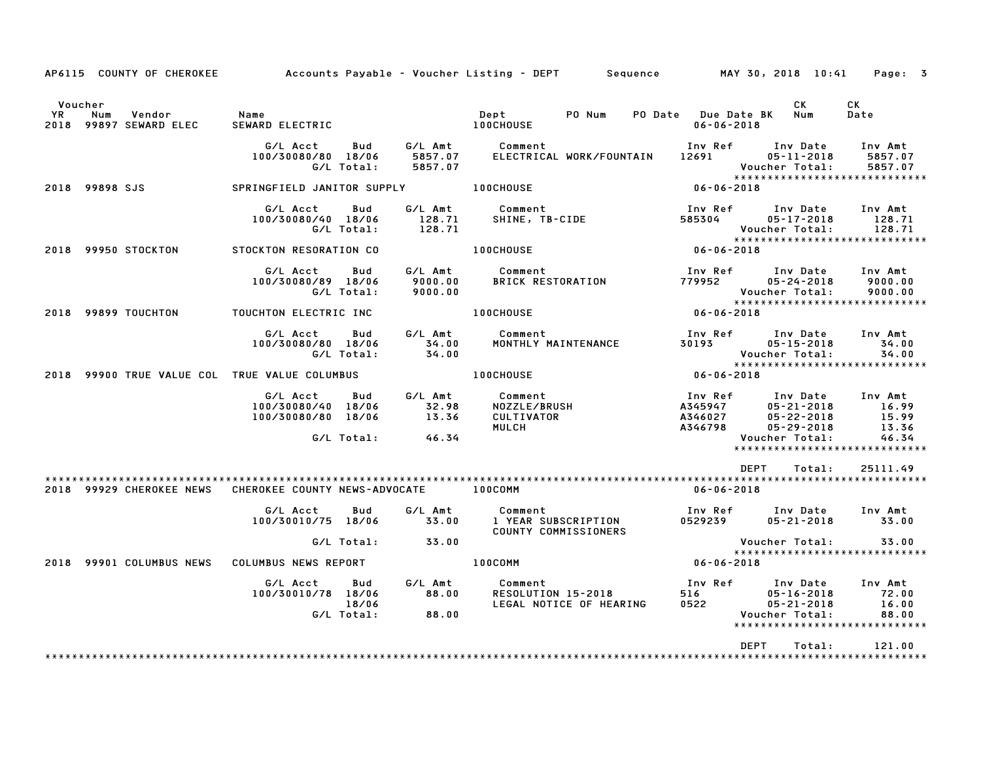|                      | AP6115 COUNTY OF CHEROKEE                     |                                                      |                     |                                    | Accounts Payable – Voucher Listing – DEPT       Sequence         MAY 30, 2018 10:41     Page:   3 |                                                     |                                                                                                               |                                    |
|----------------------|-----------------------------------------------|------------------------------------------------------|---------------------|------------------------------------|---------------------------------------------------------------------------------------------------|-----------------------------------------------------|---------------------------------------------------------------------------------------------------------------|------------------------------------|
| Voucher<br><b>YR</b> | Num<br>Vendor<br>2018 99897 SEWARD ELEC       | Name<br>SEWARD ELECTRIC                              |                     |                                    | PO Num<br>Dept<br><b>100CHOUSE</b>                                                                | PO Date Due Date BK Num<br>$06 - 06 - 2018$         | CK                                                                                                            | CK<br>Date                         |
|                      |                                               | G/L Acct<br>100/30080/80 18/06                       | Bud<br>G/L Total:   | 5857.07<br>5857.07                 | G/L Amt Comment<br>ELECTRICAL WORK/FOUNTAIN                                                       | 12691                                               | Inv Ref Inv Date<br>$05 - 11 - 2018$<br>Voucher Total:<br>*****************************                       | Inv Amt<br>5857.07<br>5857.07      |
|                      | 2018 99898 SJS                                | SPRINGFIELD JANITOR SUPPLY 100CHOUSE                 |                     |                                    |                                                                                                   | $06 - 06 - 2018$                                    |                                                                                                               |                                    |
|                      |                                               | G/L Acct<br>100/30080/40 18/06                       | Bud<br>G/L Total:   | G/L Amt<br>128.71<br>128.71        | Comment<br>Comment<br>SHINE, TB-CIDE                                                              | Inv Ref<br>585304                                   | Inv Date<br>$05 - 17 - 2018$<br>Voucher Total:                                                                | Inv Amt<br>128.71<br>128.71        |
|                      | 2018 99950 STOCKTON                           | STOCKTON RESORATION CO                               |                     |                                    | <b>100CHOUSE</b>                                                                                  | $06 - 06 - 2018$                                    | *****************************                                                                                 |                                    |
|                      |                                               | G/L Acct Bud<br>100/30080/89 18/06                   | G/L Total:          | G/L Amt<br>9000.00<br>9000.00      | Comment<br>BRICK RESTORATION 779952 05-24-2018                                                    |                                                     | Inv Ref Inv Date<br>Voucher Total:                                                                            | Inv Amt<br>9000.00<br>9000.00      |
|                      | 2018 99899 TOUCHTON                           | TOUCHTON ELECTRIC INC                                |                     |                                    | 100CHOUSE                                                                                         | $06 - 06 - 2018$                                    |                                                                                                               |                                    |
|                      |                                               | G/L Acct<br>100/30080/80 18/06                       | Bud<br>G/L Total:   | G/L Amt<br>34.00<br>34.00          | Comment<br>MONTHLY MAINTENANCE                                                                    |                                                     | Inv Ref      Inv Date<br>30193 05-15-2018<br>Voucher Total:<br>*****************************                  | Inv Amt<br>34.00<br>34.00          |
|                      | 2018 99900 TRUE VALUE COL TRUE VALUE COLUMBUS |                                                      |                     |                                    | <b>100CHOUSE</b>                                                                                  | $06 - 06 - 2018$                                    |                                                                                                               |                                    |
|                      |                                               | G/L Acct<br>100/30080/40 18/06<br>100/30080/80 18/06 | Bud                 | G/L Amt<br>32.98<br>13.36<br>46.34 | Comment<br>NOZZLE/BRUSH<br>CULTIVATOR<br>MULCH                                                    | Inv Ref<br>Inv Ref<br>A345947<br>A346027<br>A346798 | Inv Date<br>$05 - 21 - 2018$<br>05-22-2018<br>05-29-2018                                                      | Inv Amt<br>16.99<br>15.99<br>13.36 |
|                      |                                               |                                                      | G/L Total:          |                                    |                                                                                                   |                                                     | Voucher Total:<br>*****************************                                                               | 46.34                              |
|                      |                                               |                                                      |                     |                                    |                                                                                                   |                                                     | <b>DEPT</b><br>Total:                                                                                         | 25111.49                           |
|                      | 2018 99929 CHEROKEE NEWS                      | CHEROKEE COUNTY NEWS-ADVOCATE                        |                     |                                    | 100COMM                                                                                           | 06-06-2018                                          |                                                                                                               |                                    |
|                      |                                               | G/L Acct<br>100/30010/75 18/06                       | Bud                 | G/L Amt<br>33.00                   | <b>Comment</b><br>1 YEAR SUBSCRIPTION<br>COUNTY COMMISSIONERS                                     | 0529239                                             | Inv Ref Inv Date Inv Amt<br>$05 - 21 - 2018$                                                                  | 33.00                              |
|                      |                                               |                                                      | G/L Total:          | 33.00                              |                                                                                                   |                                                     | Voucher Total:<br>*****************************                                                               | 33.00                              |
|                      | 2018 99901 COLUMBUS NEWS                      | COLUMBUS NEWS REPORT                                 |                     |                                    | 100COMM                                                                                           | $06 - 06 - 2018$                                    |                                                                                                               |                                    |
|                      |                                               | G/L Acct   Bud<br>100/30010/78 18/06                 | 18/06<br>G/L Total: | G/L Amt<br>88.00<br>88.00          | Comment<br>Comment<br>RESOLUTION 15-2018<br>LEGAL NOTICE OF HEARING                               |                                                     | Inv Ref      Inv Date<br>516 05-16-2018<br>0522 05-21-2018<br>Voucher Total:<br>***************************** | Inv Amt<br>72.00<br>16.00<br>88.00 |
|                      |                                               |                                                      |                     |                                    |                                                                                                   |                                                     | <b>DEPT</b><br>Total:                                                                                         | 121.00<br>*******************      |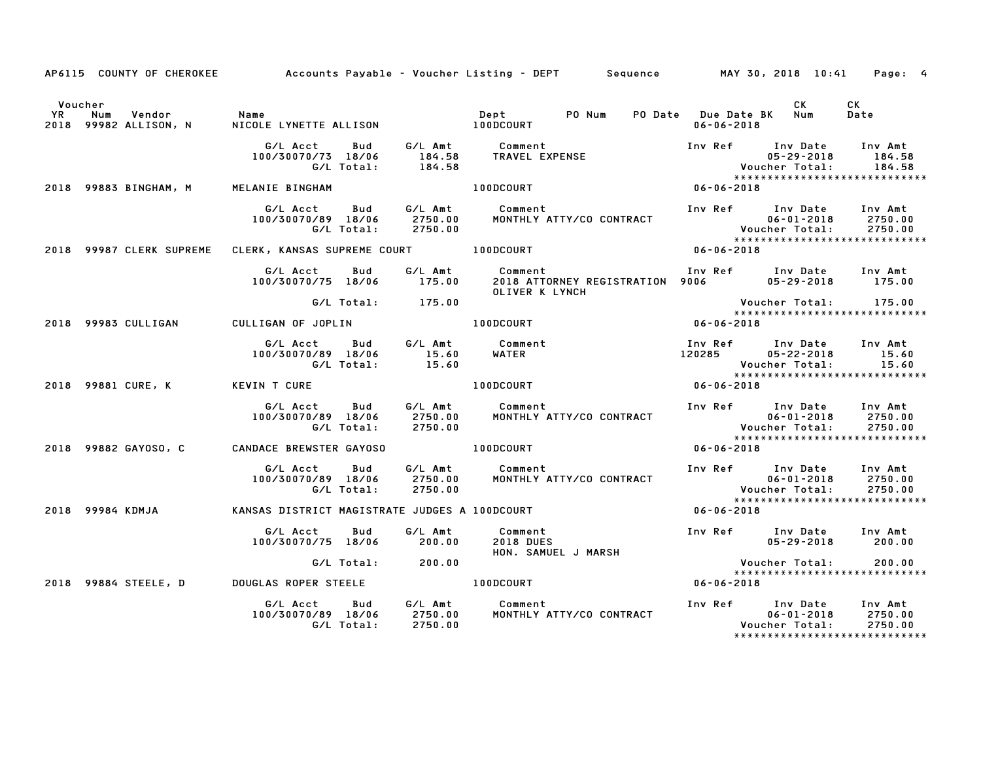|         |                                                        |                                                                                                                                                           | AP6115 COUNTY OF CHEROKEE Accounts Payable - Voucher Listing - DEPT Sequence MAY 30, 2018 10:41 Page: 4                                                                                                                                 |                  |                                                                      |  |
|---------|--------------------------------------------------------|-----------------------------------------------------------------------------------------------------------------------------------------------------------|-----------------------------------------------------------------------------------------------------------------------------------------------------------------------------------------------------------------------------------------|------------------|----------------------------------------------------------------------|--|
| Voucher | YR Num Vendor - Name<br>2018 99982 ALLISON, N - NICOLI |                                                                                                                                                           | CK CK<br>Dept PONum PODate DueDate BK Num Date<br>06-06-2018 06-06-2018                                                                                                                                                                 |                  |                                                                      |  |
|         |                                                        |                                                                                                                                                           | G/L Acct Bud G/L Amt Comment Inv Ref Inv Date Inv Amt<br>100/30070/73 18/06 184.58 TRAVEL EXPENSE 105-29-2018 184.58<br>G/L Total: 184.58 TRAVEL EXPENSE Voucher Total: 184.58<br>2018 99883 BINGHAM, M MELANIE BINGHAM 100DCOURT 100DC |                  | ******************************                                       |  |
|         |                                                        |                                                                                                                                                           |                                                                                                                                                                                                                                         |                  |                                                                      |  |
|         |                                                        |                                                                                                                                                           | G/LAcct Bud G/LAmt Comment Inv Ref Inv Date Inv Amt<br>100/30070/89 18/06 2750.00 MONTHLYATTY/COCONTRACT 106-01-2018 2750.00<br>C/LTotal: 2750.00 MONTHLYATTY/COCONTRACT VoucherTotal: 2750.00<br>2018 99987CLERKSUPREME CLERK, KANSASS |                  |                                                                      |  |
|         |                                                        |                                                                                                                                                           |                                                                                                                                                                                                                                         |                  |                                                                      |  |
|         |                                                        |                                                                                                                                                           |                                                                                                                                                                                                                                         |                  |                                                                      |  |
|         |                                                        |                                                                                                                                                           | OLIVER K LYNCH – OLIVER K LYNCH – OLIVER K LYNCH – OLIVER K LYNCH – OLIVER K LYNCH – OLIVER K LYNCH – OLIVER K<br>2018 99983 CULLIGAN – CULLIGAN OF JOPLIN – 100DCOURT – 100DCOURT                                                      |                  | Voucher Total: 175.00<br>*****************************<br>06-06-2018 |  |
|         |                                                        |                                                                                                                                                           |                                                                                                                                                                                                                                         |                  |                                                                      |  |
|         |                                                        |                                                                                                                                                           | G/LAcct Bud G/LAmt Comment InvRef InvDate InvAmt<br>100/30070/89 18/06 15.60 WATER 120285 05-22-2018 15.60<br>G/LTotal: 15.60 19100DCOURT 100DCOURT 166-06-2018 15.60<br>VINTCURE 100DCOURT 100DCOURT 06-06-2018                        |                  |                                                                      |  |
|         |                                                        |                                                                                                                                                           |                                                                                                                                                                                                                                         |                  |                                                                      |  |
|         |                                                        |                                                                                                                                                           | G/L Acct Bud G/L Amt Comment Inv Ref Inv Date Inv Amt<br>100/30070/89 18/06 2750.00 MONTHLY ATTY/CO CONTRACT 06-01-2018 2750.00<br>G/L Total: 2750.00                                                                                   |                  | ******************************                                       |  |
|         |                                                        | 2018 99882 GAYOSO, C CANDACE BREWSTER GAYOSO CONTENTING OURT                                                                                              |                                                                                                                                                                                                                                         | $06 - 06 - 2018$ |                                                                      |  |
|         |                                                        |                                                                                                                                                           | G/L Acct Bud G/L Amt Comment Inv Ref Inv Date Inv Amt<br>100/30070/89 18/06 2750.00 MONTHLY ATTY/CO CONTRACT 06-01-2018 2750.00<br>6/L Total: 2750.00                                                                                   |                  |                                                                      |  |
|         | 2018 99984 KDMJA                                       |                                                                                                                                                           |                                                                                                                                                                                                                                         |                  | ******************************                                       |  |
|         |                                                        | G/L Acct         Bud             G/L Amt              Comment<br>00/30070/75    18/06             200.00          2018  DUES<br>100/30070/75 18/06 200.00 | Inv Ref Inv Date Inv Amt<br>1950-29-2018 195-29-2018<br>Comment<br>2018 DUES<br>HON. SAMUEL J MARSH<br>Vouch<br>******<br>06-06-2018                                                                                                    |                  |                                                                      |  |
|         |                                                        | G/L Total: 200.00                                                                                                                                         |                                                                                                                                                                                                                                         |                  | Voucher Total: 200.00<br>******************************              |  |
|         |                                                        | 2018 99884 STEELE, D DOUGLAS ROPER STEELE <b>100DCOURT</b>                                                                                                |                                                                                                                                                                                                                                         |                  |                                                                      |  |
|         |                                                        |                                                                                                                                                           | G/L Acct Bud G/L Amt Comment Inv Ref Inv Date Inv Amt<br>100/30070/89 18/06 2750.00 MONTHLY ATTY/CO CONTRACT 06-01-2018 2750.00<br>6/L Total: 2750.00                                                                                   |                  | *****************************                                        |  |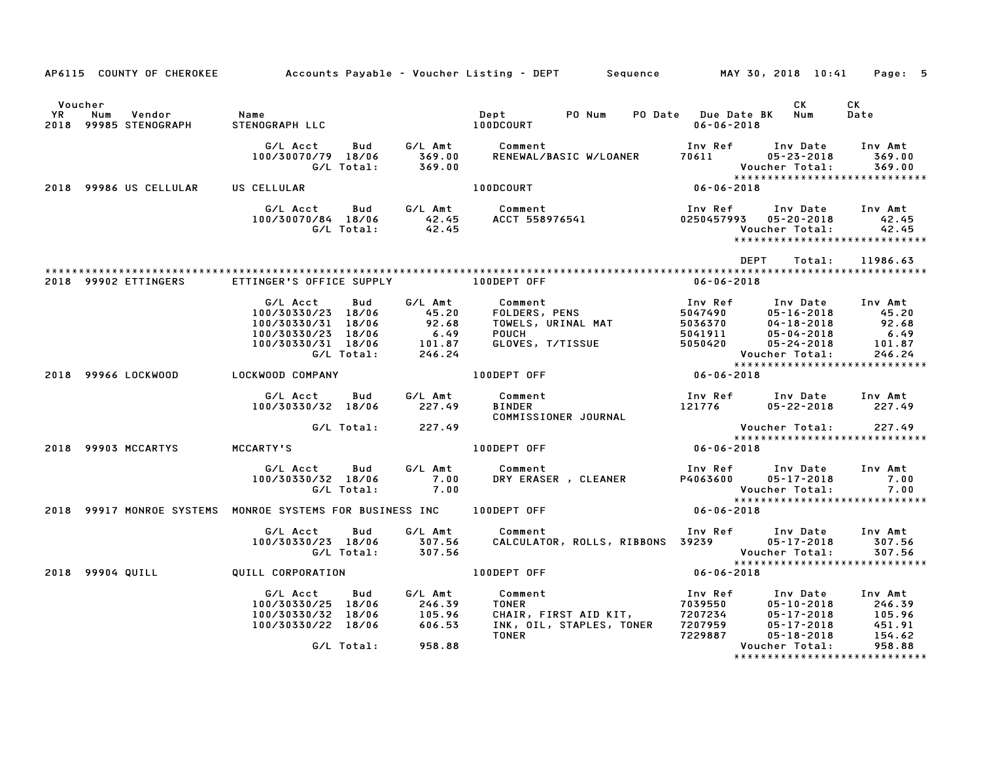|                      |                                        |                                                                                                                                                                                  |                   | AP6115 COUNTY OF CHEROKEE Accounts Payable - Voucher Listing - DEPT Sequence MAY 30, 2018 10:41 Page: 5                                                                                                                                                                     |                                                                              |                                    |                                                                       |
|----------------------|----------------------------------------|----------------------------------------------------------------------------------------------------------------------------------------------------------------------------------|-------------------|-----------------------------------------------------------------------------------------------------------------------------------------------------------------------------------------------------------------------------------------------------------------------------|------------------------------------------------------------------------------|------------------------------------|-----------------------------------------------------------------------|
| Voucher<br><b>YR</b> | Num<br>Vendor<br>2018 99985 STENOGRAPH | Name<br>STENOGRAPH LLC                                                                                                                                                           |                   | PO Num PO Date Due Date BK Num<br>Dept<br>10000049T<br><b>100DCOURT</b>                                                                                                                                                                                                     | $06 - 06 - 2018$                                                             | <b>CK</b>                          | CK<br>Date                                                            |
|                      |                                        | G/L Acct Bud G/L Amt Comment<br>100/30070/79 18/06 369.00<br>G/L Total: 369.00                                                                                                   |                   |                                                                                                                                                                                                                                                                             | Inv Ref Inv Date Inv Amt                                                     |                                    |                                                                       |
|                      | 2018 99986 US CELLULAR                 | US CELLULAR                                                                                                                                                                      |                   | <b>100DCOURT</b>                                                                                                                                                                                                                                                            | $06 - 06 - 2018$                                                             |                                    |                                                                       |
|                      |                                        |                                                                                                                                                                                  |                   |                                                                                                                                                                                                                                                                             | Inv Ref<br>0250457993  05-20-2018                                            | Inv Date Inv Amt<br>Voucher Total: | 42.45<br>42.45<br>*****************************                       |
|                      |                                        |                                                                                                                                                                                  |                   |                                                                                                                                                                                                                                                                             | DEPT                                                                         |                                    | Total: 11986.63                                                       |
|                      | 2018 99902 ETTINGERS                   | ETTINGER'S OFFICE SUPPLY <b>100DEPT OFF</b>                                                                                                                                      |                   |                                                                                                                                                                                                                                                                             | 06-06-2018                                                                   |                                    |                                                                       |
|                      |                                        | G/L Acct<br><b>Bud</b><br>$100/30330/23$ $100/30330/31$ $18/06$ $100/30330/23$ $18/06$ $6.49$ $100/30330/31$ $18/06$ $6.49$ $101/30330/31$ $6/1$ $18/06$ $101.87$ $6/1$ $246.24$ |                   | 0001 Comment<br>FOLDERS, PENS<br>TOWELS, URINAL MAT<br>POUCH<br>CLOVES, T/TISSUE<br>CLOVES, T/TISSUE<br>CLOVES, T/TISSUE<br>CLOVES, T/TISSUE<br>POUCH<br>CLOVES, T/TISSUE<br>CLOVES, T/TISSUE<br>CLOVES, T/TISSUE<br>CLOVES, T/TISSUE<br>CLOVES, T/TISSU<br>G/L Amt Comment | Voucher Total: 246.24<br>****************************                        |                                    |                                                                       |
|                      |                                        | 2018 99966 LOCKWOOD LOCKWOOD COMPANY                                                                                                                                             |                   | 100DEPT OFF                                                                                                                                                                                                                                                                 | $06 - 06 - 2018$                                                             |                                    |                                                                       |
|                      |                                        | G/L Acct Bud<br>100/30330/32 18/06 227.49                                                                                                                                        |                   | G/L Amt Comment<br><b>BINDER</b><br>BINDER<br>COMMISSIONER JOURNAL                                                                                                                                                                                                          | Inv Ref       Inv Date     Inv Amt<br>121776         05-22-2018       227.49 |                                    |                                                                       |
|                      |                                        |                                                                                                                                                                                  | G/L Total: 227.49 |                                                                                                                                                                                                                                                                             | Voucher Total: 227.49<br>**************************                          |                                    |                                                                       |
|                      | 2018 99903 MCCARTYS                    | MCCARTY'S                                                                                                                                                                        |                   | 100DEPT OFF                                                                                                                                                                                                                                                                 | $06 - 06 - 2018$                                                             |                                    |                                                                       |
|                      |                                        | G/L Acct Bud<br>100/30330/32 18/06<br>G/L Total: 7.00                                                                                                                            | 7.00              | G/L Amt Comment                                                                                                                                                                                                                                                             | Inv Ref      Inv Date     Inv Amt                                            |                                    | 7.00<br>Voucher Total: 7.00<br>****************************           |
|                      |                                        |                                                                                                                                                                                  |                   |                                                                                                                                                                                                                                                                             | $06 - 06 - 2018$                                                             |                                    |                                                                       |
|                      |                                        | G/L Acct Bud G/L Amt Comment<br>100/30330/23 18/06 307.56 CALCULATO<br>G/L Total: 307.56                                                                                         |                   | Comment                                Inv Ref      Inv Date    Inv Amt<br>CALCULATOR, ROLLS, RIBBONS  39239           05-17-2018       307.56                                                                                                                              |                                                                              | Voucher Total:                     | 307.56<br>******************************                              |
|                      | 2018 99904 QUILL                       | QUILL CORPORATION <b>CONTAINS A RELATE OF STATE OF FILTI</b> ON                                                                                                                  |                   | $06 - 06 - 2018$                                                                                                                                                                                                                                                            |                                                                              |                                    |                                                                       |
|                      |                                        | G/L Acct   Bud<br>100/30330/25 18/06 246.39<br>100/30330/32 18/06 105.96<br>100/30330/22 18/06 606.53                                                                            | G/L Amt           | Comment<br>05-10-2018<br>CHAIR, FIRST AID KIT, 7207234<br>INK, OIL, STAPLES, TONER 7207259 05-17-2018<br>TONER 7229887 05-18-2018                                                                                                                                           | Inv Ref      Inv Date     Inv Amt                                            |                                    | 05-10-2018 246.39<br>05-17-2018 105.96<br>05-17-2018 451.91<br>154.62 |
|                      |                                        | G/L Total:                                                                                                                                                                       | 958.88            |                                                                                                                                                                                                                                                                             |                                                                              | Voucher Total:                     | 958.88                                                                |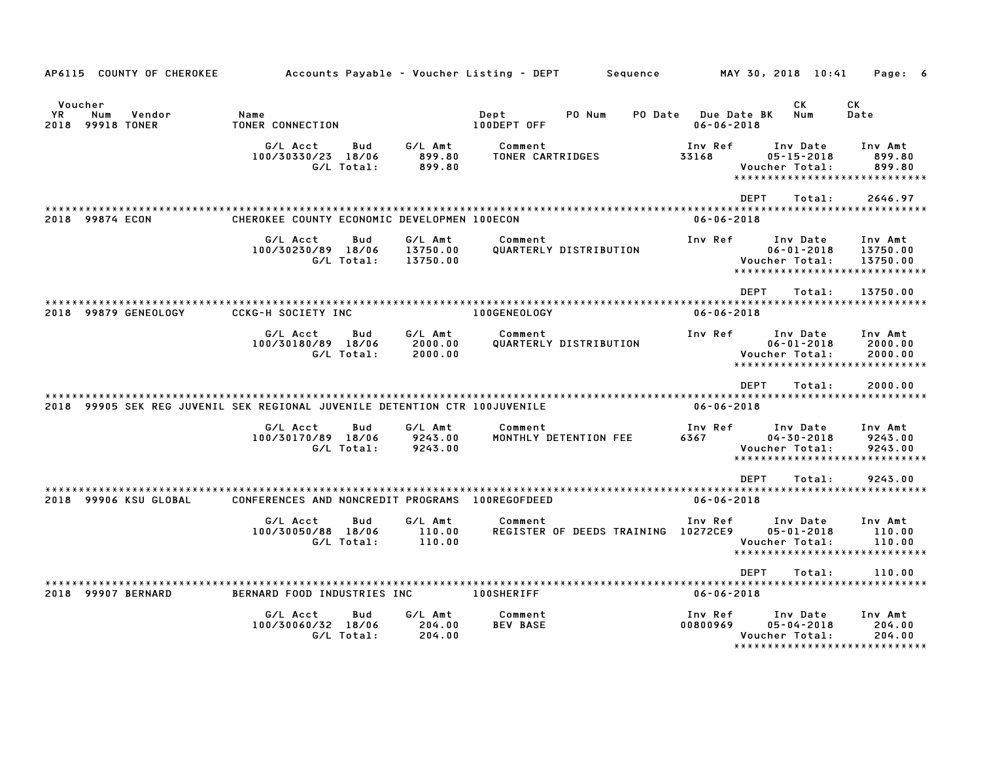| AP6115 COUNTY OF CHEROKEE                                                  | Accounts Payable - Voucher Listing - DEPT           |                                 | Sequence                                        | MAY 30, 2018 10:41                                                    | Page: 6                                                          |
|----------------------------------------------------------------------------|-----------------------------------------------------|---------------------------------|-------------------------------------------------|-----------------------------------------------------------------------|------------------------------------------------------------------|
| Voucher<br>YR.<br>Num<br>Vendor<br>2018 99918 TONER                        | Name<br>TONER CONNECTION                            |                                 | Dept<br>PO Num<br><b>PO Date</b><br>100DEPT OFF | СK<br><b>Due Date BK</b><br>Num<br>$06 - 06 - 2018$                   | СK<br>Date                                                       |
|                                                                            | G/L Acct<br>Bud<br>100/30330/23 18/06<br>G/L Total: | G/L Amt<br>899.80<br>899.80     | Comment<br>TONER CARTRIDGES                     | Inv Ref<br>Inv Date<br>33168<br>$05 - 15 - 2018$<br>Voucher Total:    | Inv Amt<br>899.80<br>899.80<br>*****************************     |
| 2018 99874 ECON                                                            | CHEROKEE COUNTY ECONOMIC DEVELOPMEN 100ECON         |                                 |                                                 | <b>DEPT</b><br>$06 - 06 - 2018$                                       | 2646.97<br>Total:                                                |
|                                                                            | G/L Acct<br>Bud<br>100/30230/89 18/06<br>G/L Total: | G/L Amt<br>13750.00<br>13750.00 | Comment<br>QUARTERLY DISTRIBUTION               | Inv Ref<br>Inv Date<br>$06 - 01 - 2018$<br>Voucher Total:             | Inv Amt<br>13750.00<br>13750.00<br>***************************** |
| 2018 99879 GENEOLOGY                                                       | <b>CCKG-H SOCIETY INC</b>                           |                                 | 100GENEOLOGY                                    | <b>DEPT</b><br>$06 - 06 - 2018$                                       | 13750.00<br>Total:                                               |
|                                                                            | G/L Acct<br>Bud<br>100/30180/89 18/06<br>G/L Total: | G/L Amt<br>2000.00<br>2000.00   | Comment<br>QUARTERLY DISTRIBUTION               | Inv Ref<br>Inv Date<br>$06 - 01 - 2018$<br>Voucher Total:             | Inv Amt<br>2000.00<br>2000.00<br>*****************************   |
| 2018 99905 SEK REG JUVENIL SEK REGIONAL JUVENILE DETENTION CTR 100JUVENILE |                                                     |                                 |                                                 | <b>DEPT</b><br>$06 - 06 - 2018$                                       | Total:<br>2000.00                                                |
|                                                                            | G/L Acct<br>Bud<br>100/30170/89 18/06<br>G/L Total: | G/L Amt<br>9243.00<br>9243.00   | Comment<br>MONTHLY DETENTION FEE                | Inv Ref<br>Inv Date<br>6367<br>$04 - 30 - 2018$<br>Voucher Total:     | Inv Amt<br>9243.00<br>9243.00<br>*****************************   |
| 2018 99906 KSU GLOBAL                                                      | CONFERENCES AND NONCREDIT PROGRAMS 100REGOFDEED     |                                 |                                                 | <b>DEPT</b><br>$06 - 06 - 2018$                                       | Total:<br>9243.00                                                |
|                                                                            | G/L Acct<br>Bud<br>100/30050/88 18/06<br>G/L Total: | G/L Amt<br>110.00<br>110.00     | Comment<br>REGISTER OF DEEDS TRAINING 10272CE9  | Inv Ref<br>Inv Date<br>$05 - 01 - 2018$<br>Voucher Total:             | Inv Amt<br>110.00<br>110.00<br>*****************************     |
| 2018 99907 BERNARD                                                         | BERNARD FOOD INDUSTRIES INC                         |                                 | <b>100SHERIFF</b>                               | <b>DEPT</b><br>$06 - 06 - 2018$                                       | Total:<br>110.00                                                 |
|                                                                            | G/L Acct<br>Bud<br>100/30060/32 18/06<br>G/L Total: | G/L Amt<br>204.00<br>204.00     | Comment<br><b>BEV BASE</b>                      | Inv Ref<br>Inv Date<br>00800969<br>$05 - 04 - 2018$<br>Voucher Total: | Inv Amt<br>204.00<br>204.00<br>*****************************     |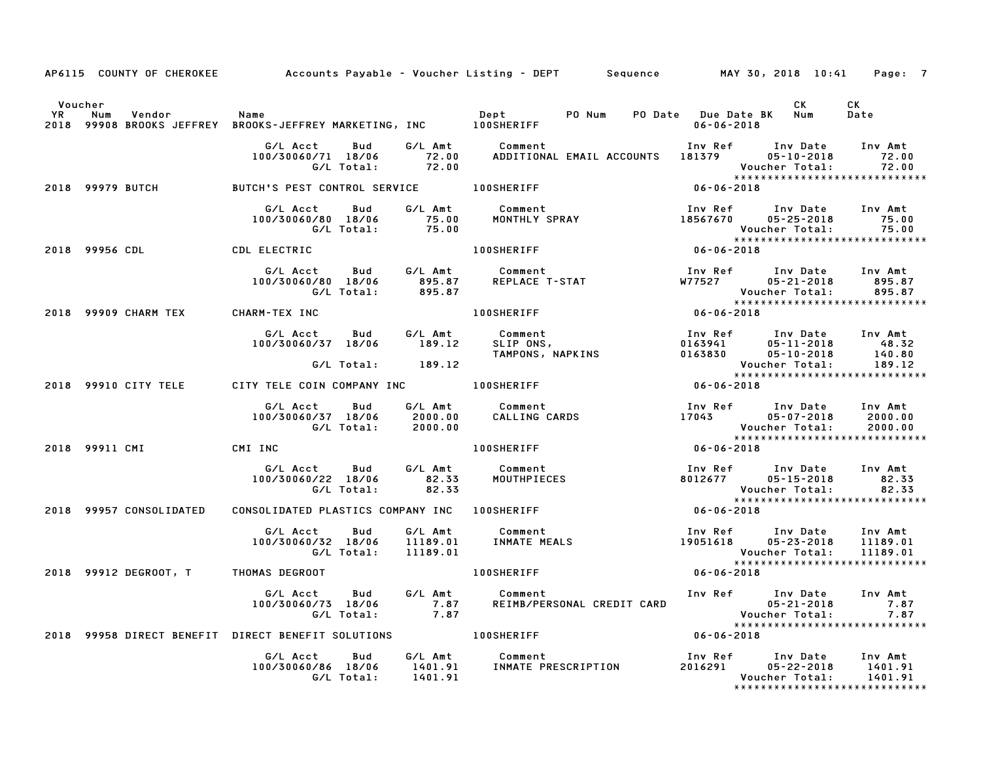|                              |                                      |                                                                                                            |                    | AP6115 COUNTY OF CHEROKEE Accounts Payable - Voucher Listing - DEPT Sequence MAY 30, 2018 10:41 Page: 7                                                                                      |                                                        |                              |                                                                                |
|------------------------------|--------------------------------------|------------------------------------------------------------------------------------------------------------|--------------------|----------------------------------------------------------------------------------------------------------------------------------------------------------------------------------------------|--------------------------------------------------------|------------------------------|--------------------------------------------------------------------------------|
| Voucher<br><b>YR</b><br>2018 | Num<br>Vendor                        | Name<br>99908 BROOKS JEFFREY BROOKS-JEFFREY MARKETING, INC 100SHERIFF                                      |                    | Dept PO Num PO Date Due Date BK Num                                                                                                                                                          | $06 - 06 - 2018$                                       | CK .                         | CK<br>Date                                                                     |
|                              |                                      | G/L Acct<br>ct Bud G/LAmt Comment:<br>0/71 18/06 72.00 ADDITIONA:<br>G/LTotal: 72.00<br>100/30060/71 18/06 |                    | Comment                                  Inv Ref       Inv Date     Inv Amt<br>ADDITIONAL EMAIL ACCOUNTS    181379         05-10-2018        72.00                                           |                                                        |                              | 72.00<br>Voucher Total: 72.00<br>****************************                  |
|                              | 2018 99979 BUTCH                     | BUTCH'S PEST CONTROL SERVICE 100SHERIFF                                                                    |                    |                                                                                                                                                                                              | $06 - 06 - 2018$                                       |                              |                                                                                |
|                              |                                      |                                                                                                            |                    | نار ہے۔<br>100/30060/80 18/06 75.00 MONTHLY SPRAY 18567670 05-25-2018 75.00<br>18567670 05-25-2018 75.00<br>1000600 MONTHLY SPRAY 18567670 1899000 1000600 7:1                               |                                                        |                              |                                                                                |
|                              | 2018 99956 CDL                       | <b>CDL ELECTRIC</b>                                                                                        |                    | <b>100SHERIFF</b>                                                                                                                                                                            |                                                        |                              |                                                                                |
|                              |                                      | G/L Acct Bud G/L Amt Comment<br>100/30060/80 18/06 895.87<br>G/L Total:                                    | 895.87             | Comment<br>REPLACE T-STAT                                                                                                                                                                    | Inv Ref       Inv Date<br>W77527       05–21–2018      | Voucher Total:               | Inv Amt<br>895.87<br>895.87                                                    |
|                              | 2018 99909 CHARM TEX                 | CHARM-TEX INC                                                                                              |                    | $06 - 06 - 2018$<br><b>100SHERIFF</b>                                                                                                                                                        |                                                        |                              |                                                                                |
|                              |                                      |                                                                                                            |                    | 6/L Acct Bud G/L Amt Comment 100/30060/37 18/06 189.12 SLIP ONS, 0163941 05-11-2018<br>100/30060/37 18/06 189.12 SLIP ONS, NAPKINS 0163830 05-11-2018<br>TAMPONS, NAPKINS 0163830 05-10-1201 |                                                        | Inv Date Inv Amt             | 48.32<br>140.80                                                                |
|                              |                                      | G/L Total: 189.12                                                                                          |                    |                                                                                                                                                                                              | Voucher Total: 189.12<br>***************************** |                              |                                                                                |
|                              | 2018 99910 CITY TELE                 | CITY TELE COIN COMPANY INC <b>100SHERIFF</b>                                                               |                    |                                                                                                                                                                                              | $*****$<br>06-06-2018                                  |                              |                                                                                |
|                              |                                      | Bud<br>G/L Acct<br>100/30060/37 18/06<br>G/L Total: 2000.00                                                |                    |                                                                                                                                                                                              | Inv Ref Inv Date                                       | 05-07-2018<br>Voucher Total: | Inv Amt<br>2000.00<br>2000.00                                                  |
|                              | 2018 99911 CMI                       | CMI INC                                                                                                    |                    | <b>100SHERIFF</b>                                                                                                                                                                            | $06 - 06 - 2018$                                       |                              | *****************************                                                  |
|                              |                                      | G/L Acct Bud<br>100/30060/22 18/06<br>G/L Total:                                                           | 82.33<br>82.33     | G/L Amt Comment<br>Comment<br>MOUTHPIECES                                                                                                                                                    | Inv Ref      Inv Date<br>8012677        05–15–2018     | Voucher Total:               | Inv Amt<br>82.33<br>82.33                                                      |
|                              | 2018 99957 CONSOLIDATED              | CONSOLIDATED PLASTICS COMPANY INC  100SHERIFF                                                              |                    |                                                                                                                                                                                              | $06 - 06 - 2018$                                       |                              |                                                                                |
|                              |                                      | G/L Acct   Bud<br>100/30060/32 18/06<br>G/L Total:    11189.01                                             |                    | G/L Amt         Comment<br>11189.01      INMATE MEALS                                                                                                                                        | Inv Ref      Inv Date<br>19051618       05–23–2018     |                              | Inv Amt<br>11189.01<br>Voucher Total: 11189.01<br>**************************** |
|                              | 2018 99912 DEGROOT, T THOMAS DEGROOT |                                                                                                            |                    | <b>100SHERIFF</b>                                                                                                                                                                            | $06 - 06 - 2018$                                       |                              |                                                                                |
|                              |                                      | G/L Acct<br><b>Bud</b><br>060/73 18/06 7.87<br>G/L Total: 7.87<br>100/30060/73 18/06                       |                    | G/L Amt Comment                                                                                                                                                                              |                                                        |                              |                                                                                |
|                              |                                      | 2018 99958 DIRECT BENEFIT DIRECT BENEFIT SOLUTIONS 100SHERIFF                                              |                    |                                                                                                                                                                                              |                                                        |                              |                                                                                |
|                              |                                      | G/L Acct<br>Bud<br>100/30060/86 18/06<br>G/L Total:                                                        | 1401.91<br>1401.91 | G/L Amt Comment<br>Comment<br>INMATE PRESCRIPTION                                                                                                                                            | Inv Ref      Inv Date<br>2016291        05–22–2018     | Voucher Total:               | Inv Amt<br>1401.91<br>1401.91<br>*****************************                 |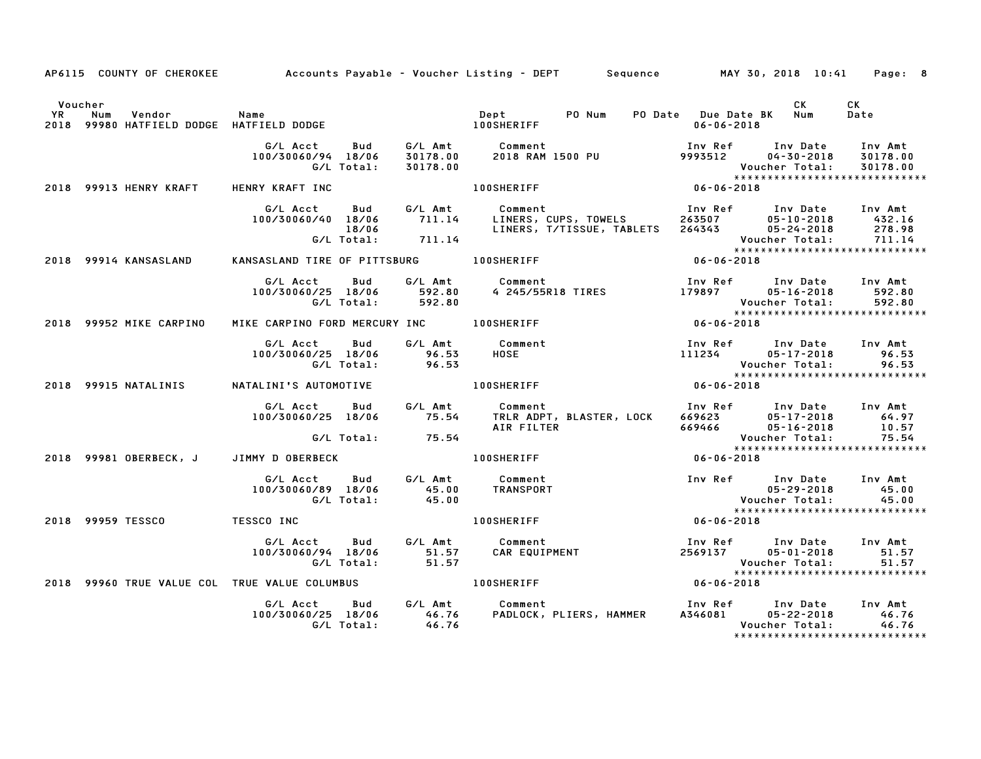|                      |                         |                                                              |                             | AP6115 COUNTY OF CHEROKEE Accounts Payable - Voucher Listing - DEPT Sequence MAY 30, 2018 10:41 Page: 8                                     |                                                    |                                                                         |                                                                  |
|----------------------|-------------------------|--------------------------------------------------------------|-----------------------------|---------------------------------------------------------------------------------------------------------------------------------------------|----------------------------------------------------|-------------------------------------------------------------------------|------------------------------------------------------------------|
| Voucher<br><b>YR</b> | Vendor<br>Num           | Name<br>2018 99980 HATFIELD DODGE HATFIELD DODGE             |                             | PO Num<br>Dept<br><b>100SHERIFF</b>                                                                                                         | PO Date Due Date BK Num<br>$06 - 06 - 2018$        | CK                                                                      | CK<br>Date                                                       |
|                      |                         | G/L Acct<br>Bud<br>100/30060/94 18/06<br>G/L Total:          | 30178.00<br>30178.00        | G/L Amt Comment<br>COMMENT<br>2018 RAM 1500 PU                                                                                              | Inv Ref       Inv Date<br>9993512       04–30–2018 | Voucher Total:                                                          | Inv Amt<br>30178.00<br>30178.00<br>***************************** |
|                      | 2018 99913 HENRY KRAFT  | HENRY KRAFT INC                                              |                             | $06 - 06 - 2018$<br><b>100SHERIFF</b>                                                                                                       |                                                    |                                                                         |                                                                  |
|                      |                         | G/L Acct<br>Bud<br>100/30060/40 18/06<br>18/06<br>G/L Total: | G/L Amt<br>711.14<br>711.14 | Comment 1nv Ref Inv Date Inv Amt<br>LINERS, CUPS, TOWELS 263507 05-10-2018 432.16<br>Comment<br>LINERS, T/TISSUE, TABLETS 264343 05-24-2018 |                                                    | Voucher Total:                                                          | 278.98<br>711.14                                                 |
|                      | 2018 99914 KANSASLAND   |                                                              |                             | KANSASLAND TIRE OF PITTSBURG 100SHERIFF                                                                                                     | $06 - 06 - 2018$                                   |                                                                         | *****************************                                    |
|                      |                         | G/L Acct<br>Bud<br>100/30060/25 18/06<br>G/L Total:          | 592.80<br>592.80            | G/L Amt Comment                                                                                                                             |                                                    | Inv Ref      Inv Date     Inv Amt<br>$05 - 16 - 2018$<br>Voucher Total: | 592.80<br>592.80<br>******************************               |
|                      | 2018 99952 MIKE CARPINO | MIKE CARPINO FORD MERCURY INC 100SHERIFF                     |                             |                                                                                                                                             | $06 - 06 - 2018$                                   |                                                                         |                                                                  |
|                      |                         | G/L Acct<br>Bud<br>100/30060/25 18/06<br>G/L Total:          | 96.53<br>96.53              | G/L Amt Comment<br><b>HOSE</b>                                                                                                              | 111234                                             | Inv Ref Inv Date Inv Amt<br>$05 - 17 - 2018$<br>Voucher Total:          | 96.53<br>96.53                                                   |
|                      | 2018 99915 NATALINIS    | NATALINI'S AUTOMOTIVE                                        |                             | <b>100SHERIFF</b>                                                                                                                           | $06 - 06 - 2018$                                   |                                                                         | *****************************                                    |
|                      |                         | G/L Acct<br>Bud<br>100/30060/25 18/06<br>G/L Total: 75.54    |                             | AIR FILTER                                                                                                                                  | 669466 05-16-2018                                  | Inv Ref Inv Date Inv Amt<br>669623 05-17-2018 64.97<br>Voucher Total:   | 64.97<br>10.57<br>75.54                                          |
|                      |                         | 2018 99981 OBERBECK, J JIMMY D OBERBECK                      |                             | <b>100SHERIFF</b>                                                                                                                           | $06 - 06 - 2018$                                   |                                                                         | ******************************                                   |
|                      |                         | G/L Acct<br>Bud<br>100/30060/89 18/06<br>G/L Total:          | 45.00<br>45.00              | G/L Amt Comment<br>TRANSPORT                                                                                                                |                                                    | Inv Ref Inv Date Inv Amt<br>05-29-2018<br>Voucher Total:                | 45.00<br>45.00                                                   |
|                      |                         | 2018 99959 TESSCO TESSCO INC                                 |                             | <b>100SHERIFF</b>                                                                                                                           | $06 - 06 - 2018$                                   |                                                                         | *****************************                                    |
|                      |                         | G/L Acct<br>Bud<br>100/30060/94 18/06<br>G/L Total:          | 51.57<br>51.57              | G/L Amt Comment<br>Comment<br>CAR EQUIPMENT                                                                                                 | Inv Ref Inv Date Inv Amt<br>2569137 05-01-2018     | Voucher Total:                                                          | 51.57<br>51.57<br>*****************************                  |
|                      |                         | 2018 99960 TRUE VALUE COL TRUE VALUE COLUMBUS   100SHERIFF   |                             |                                                                                                                                             | $06 - 06 - 2018$                                   |                                                                         |                                                                  |
|                      |                         | G/L Acct<br>Bud<br>100/30060/25 18/06 46.76<br>G/L Total:    | 46.76                       | G/L Amt Comment                                                                                                                             |                                                    | Voucher Total:                                                          | 46.76<br>46.76<br>*****************************                  |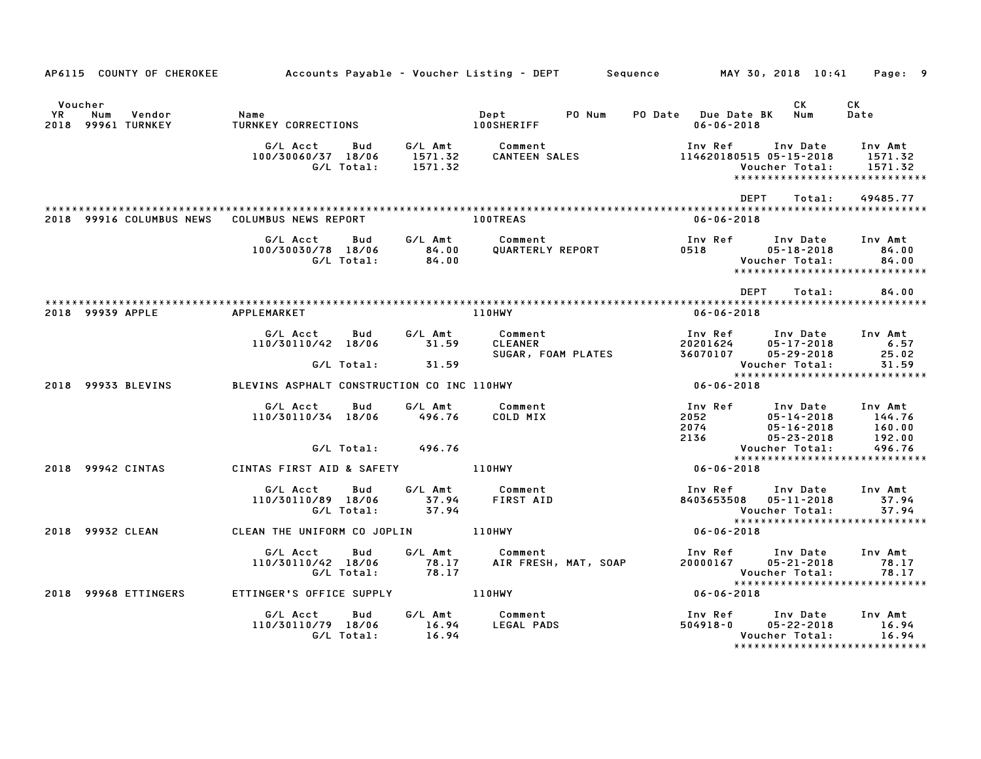|                                                   |        | AP6115 COUNTY OF CHEROKEE Accounts Payable - Voucher Listing - DEPT Sequence MAY 30, 2018 10:41 Page: 9 |                   |                                                                                               |                                                                                                                                                                               |                                                                                                            |           |                                                                    |
|---------------------------------------------------|--------|---------------------------------------------------------------------------------------------------------|-------------------|-----------------------------------------------------------------------------------------------|-------------------------------------------------------------------------------------------------------------------------------------------------------------------------------|------------------------------------------------------------------------------------------------------------|-----------|--------------------------------------------------------------------|
| Voucher<br><b>YR</b><br>Num<br>2018 99961 TURNKEY | Vendor |                                                                                                         |                   |                                                                                               |                                                                                                                                                                               | PO Date Due Date BK Num<br>$06 - 06 - 2018$                                                                | <b>CK</b> | CK<br>Date                                                         |
|                                                   |        |                                                                                                         |                   |                                                                                               | G/L Acct Bud G/L Amt Comment Inv Ref Inv Date<br>100/30060/37 18/06 1571.32 CANTEEN SALES 114620180515 05-15-2018<br>G/L Total: 1571.32 CANTEEN SALES 114620180515 05-15-2018 | Inv Ref      Inv Date     Inv Amt                                                                          |           | 1571.32<br>Voucher Total: 1571.32<br>***************************** |
|                                                   |        | 2018 99916 COLUMBUS NEWS COLUMBUS NEWS REPORT                                                           |                   | <b>100TREAS</b>                                                                               |                                                                                                                                                                               | <b>DEPT</b><br>06-06-2018                                                                                  | Total:    | 49485.77                                                           |
|                                                   |        |                                                                                                         |                   | G/L Acct Bud G/L Amt Comment<br>100/30030/78 18/06 84.00 QUARTERLY REPORT<br>G/L Total: 84.00 |                                                                                                                                                                               |                                                                                                            |           |                                                                    |
| 2018 99939 APPLE                                  |        | <b>APPLEMARKET</b>                                                                                      |                   | 110HWY                                                                                        |                                                                                                                                                                               | <b>DEPT</b><br>$06 - 06 - 2018$                                                                            | Total:    | 84.00                                                              |
|                                                   |        | G/L Acct<br>110/30110/42 18/06 31.59<br>G/L Total:                                                      | Bud<br>31.59      | G/L Amt Comment<br>31.59 CLEANER                                                              |                                                                                                                                                                               |                                                                                                            |           |                                                                    |
|                                                   |        | 2018 99933 BLEVINS BLEVINS ASPHALT CONSTRUCTION CO INC 110HWY                                           |                   |                                                                                               |                                                                                                                                                                               | Voucher Total: 31.59<br>*********************************                                                  |           |                                                                    |
|                                                   |        | G/L Acct<br>110/30110/34 18/06 496.76                                                                   | Bud               | G/L Amt Comment<br>COLD MIX                                                                   | 100 Ref 100 Date 100 Amt<br>2012 05-14-2018 144.76<br>2074 05-16-2018 160.00<br>2136 05-23-2018 192.00                                                                        | 2052 05-14-2018 144.76<br>2074 05-16-2018 160.00<br>2136 05-23-2018 192.00                                 |           |                                                                    |
|                                                   |        |                                                                                                         | G/L Total: 496.76 |                                                                                               |                                                                                                                                                                               | Voucher Total: 496.76<br>****************************                                                      |           |                                                                    |
| 2018 99942 CINTAS                                 |        | CINTAS FIRST AID & SAFETY 110HWY                                                                        |                   |                                                                                               |                                                                                                                                                                               | $06 - 06 - 2018$                                                                                           |           |                                                                    |
|                                                   |        | 110/30110/89 18/06 57.94 FIRST AID<br>G/L Total: 57.94 FIRST AID                                        |                   | G/L Amt Comment                                                                               |                                                                                                                                                                               | Inv Ref Inv Date Inv Amt<br>8403653508  05-11-2018<br>Voucher Total: 37.94<br>**************************** |           | 37.94                                                              |
| 2018 99932 CLEAN                                  |        | CLEAN THE UNIFORM CO JOPLIN 110HWY                                                                      |                   |                                                                                               |                                                                                                                                                                               | $06 - 06 - 2018$                                                                                           |           |                                                                    |
|                                                   |        |                                                                                                         |                   |                                                                                               | our buy b/L Amt Comment Inv Ref Inv Date Inv Amt Inv Amt Inv Amt Comment<br>110/30110/42 18/06 78.17 AIR FRESH, MAT, SOAP 20000167 05–21–2018 78.17<br>6/L Total: 78.17       | Voucher Total: 78.17<br>****************************                                                       |           |                                                                    |
|                                                   |        | 2018 99968 ETTINGERS ETTINGER'S OFFICE SUPPLY THE MIDHWY                                                |                   |                                                                                               |                                                                                                                                                                               | $06 - 06 - 2018$                                                                                           |           |                                                                    |
|                                                   |        | G/L Acct<br>110/30110/79 18/06 16.94 LEGAL PADS<br>G/L Total:                                           | Bud<br>16.94      | G/L Amt Comment                                                                               |                                                                                                                                                                               | Inv Ref       Inv Date     Inv Amt<br>504918-0       05-22-2018        16.94<br>Voucher Total:             |           | 16.94<br>*****************************                             |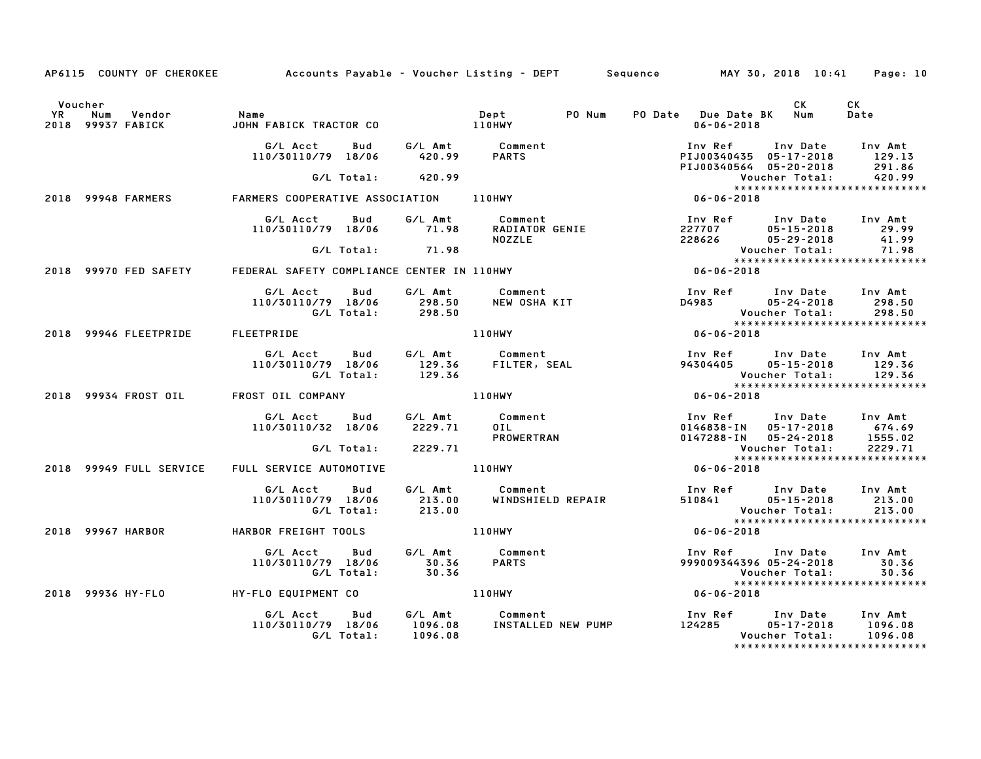|           | AP6115 COUNTY OF CHEROKEE                     |                                              |                                                           | Accounts Payable – Voucher Listing – DEPT       Sequence         MAY 30, 2018 10:41     Page: 10 |                                                                                           |                                                 |                                                                 |
|-----------|-----------------------------------------------|----------------------------------------------|-----------------------------------------------------------|--------------------------------------------------------------------------------------------------|-------------------------------------------------------------------------------------------|-------------------------------------------------|-----------------------------------------------------------------|
| <b>YR</b> | Voucher<br>Num<br>Vendor<br>2018 99937 FABICK | Name<br>JOHN FABICK TRACTOR CO               |                                                           | PO Num<br>Dept<br>110HWY                                                                         | PO Date Due Date BK Num<br>$06 - 06 - 2018$                                               | CK                                              | CK<br>Date                                                      |
|           |                                               | G/L Acct<br>110/30110/79 18/06               | Bud G/LAmt Comment<br>18/06 420.99 PARTS                  |                                                                                                  | Inv Ref<br>PIJ00340435 05-17-2018<br>PIJ00340564 05-20-2018                               | Inv Date                                        | Inv Amt<br>129.13<br>291.86                                     |
|           |                                               |                                              |                                                           |                                                                                                  |                                                                                           | Voucher Total:                                  | 420.99                                                          |
|           | 2018 99948 FARMERS                            |                                              |                                                           | G/L Total: 420.99<br>FARMERS COOPERATIVE ASSOCIATION 110HWY                                      | $06 - 06 - 2018$                                                                          |                                                 | *****************************                                   |
|           |                                               | G/L Acct                                     | Bud<br>110/30110/79 18/06 71.98                           | G/L Amt Comment                                                                                  |                                                                                           |                                                 |                                                                 |
|           |                                               |                                              | G/L Total: 71.98                                          |                                                                                                  |                                                                                           | <b>Voucher Total:</b>                           | 41.99<br>71.98                                                  |
|           | 2018 99970 FED SAFETY                         |                                              |                                                           | FEDERAL SAFETY COMPLIANCE CENTER IN 110HWY                                                       | $06 - 06 - 2018$                                                                          |                                                 |                                                                 |
|           |                                               | G/L Acct Bud                                 | G/L Amt<br>110/30110/79 18/06 298.50<br>G/L Total: 298.50 | Comment<br>Comment<br>NEW OSHA KIT                                                               | Inv Ref Inv Date Inv Amt                                                                  | <b>Voucher Total:</b>                           |                                                                 |
|           | 2018 99946 FLEETPRIDE                         | <b>FLEETPRIDE</b>                            |                                                           | 110HWY                                                                                           | $06 - 06 - 2018$                                                                          |                                                 |                                                                 |
|           |                                               |                                              |                                                           |                                                                                                  |                                                                                           |                                                 |                                                                 |
|           | 2018 99934 FROST OIL                          | FROST OIL COMPANY                            |                                                           | <b>110HWY</b>                                                                                    | $06 - 06 - 2018$                                                                          |                                                 |                                                                 |
|           |                                               | G/L Acct Bud<br>110/30110/32 18/06           | 2229.71<br>G/L Total: 2229.71                             | G/L Amt Comment<br><b>OIL</b><br>PROWERTRAN                                                      | Inv Ref Inv Date Inv Amt<br>0146838-IN 05-17-2018 674.69<br>0147288-IN 05-24-2018 1555.02 | Voucher Total:<br>Youcher Total:<br>*********** | 2229.71                                                         |
|           |                                               |                                              |                                                           |                                                                                                  |                                                                                           |                                                 | ******************************                                  |
|           | 2018 99949 FULL SERVICE                       | FULL SERVICE AUTOMOTIVE                      |                                                           | 110HWY                                                                                           | $06 - 06 - 2018$                                                                          |                                                 |                                                                 |
|           |                                               | G/L Acct Bud<br>110/30110/79 18/06           |                                                           | G/L Amt      Comment<br>213.00     WINDSHIELD REPAIR<br>WINDSHIELD REPAIR                        | Inv Ref      Inv Date    Inv Amt<br>510841         05–15–2018       213.00                |                                                 | 213.00<br>******************************                        |
|           | 2018 99967 HARBOR                             | HARBOR FREIGHT TOOLS                         |                                                           | 110HWY                                                                                           | $06 - 06 - 2018$                                                                          |                                                 |                                                                 |
|           |                                               | G/L Acct<br>110/30110/79 18/06<br>G/L Total: | Bud G/LAmt Comment<br>8/06 30.36 PARTS<br>30.36<br>30.36  |                                                                                                  | Inv Ref Inv Date Inv Amt<br>999009344396 05-24-2018                                       | Voucher Total:                                  | 30.36<br>30.36<br>*****************************                 |
|           | 2018 99936 HY-FLO                             | HY-FLO EQUIPMENT CO                          |                                                           | 110HWY                                                                                           | $06 - 06 - 2018$                                                                          |                                                 |                                                                 |
|           |                                               | G/L Acct<br>110/30110/79 18/06               | Bud<br>1096.08<br>G/L Total: 1096.08                      | G/L Amt Comment<br>1096.08 INSTALLED<br><b>COMMENT<br/>INSTALLED NEW PUMP</b>                    | Inv Ref       Inv Date<br>124285        05–17–2018                                        | Voucher Total:                                  | Inv Amt<br>1096.08<br>1096.08<br>****************************** |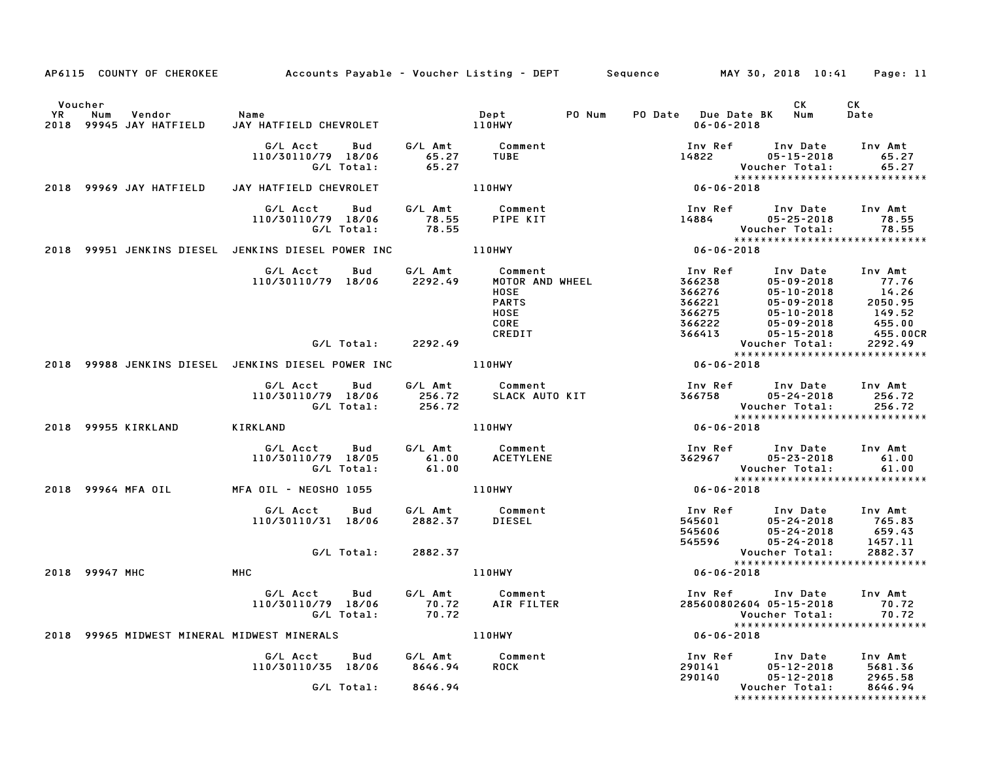|                      |                                             | AP6115 COUNTY OF CHEROKEE Accounts Payable - Voucher Listing - DEPT Sequence MAY 30, 2018 10:41 Page: 11 |               |                                     |        |                                                                                                                                                                                                   |                                                                                                                                                                                 |                |
|----------------------|---------------------------------------------|----------------------------------------------------------------------------------------------------------|---------------|-------------------------------------|--------|---------------------------------------------------------------------------------------------------------------------------------------------------------------------------------------------------|---------------------------------------------------------------------------------------------------------------------------------------------------------------------------------|----------------|
| Voucher<br><b>YR</b> | Vendor<br>Num<br>2018 99945 JAY HATFIELD    | Name<br>JAY HATFIELD CHEVROLET 110HWY                                                                    |               | Dept                                | PO Num | PO Date Due Date BK Num<br>06-06-2018                                                                                                                                                             | <b>CK</b>                                                                                                                                                                       | CK<br>Date     |
|                      |                                             | G/L Acct<br>Bud<br>110/30110/79 18/06<br>G/L Total:                                                      |               |                                     |        |                                                                                                                                                                                                   | Voucher Total:                                                                                                                                                                  | 65.27<br>65.27 |
|                      | 2018 99969 JAY HATFIELD                     | JAY HATFIELD CHEVROLET                                                                                   |               | 110HWY                              |        | $06 - 06 - 2018$                                                                                                                                                                                  |                                                                                                                                                                                 |                |
|                      |                                             | G/L Acct Bud G/L Amt Comment<br>110/30110/79 18/06 78.55 PIPE KIT<br>G/L Total: 78.55                    |               |                                     |        |                                                                                                                                                                                                   |                                                                                                                                                                                 |                |
|                      |                                             | 2018 99951 JENKINS DIESEL JENKINS DIESEL POWER INC 4110HWY                                               |               |                                     |        |                                                                                                                                                                                                   |                                                                                                                                                                                 |                |
|                      |                                             | G/L Acct Bud G/L Amt Comment<br>110/30110/79 18/06 2292.49 MOTOR AND WHEEL                               |               |                                     |        |                                                                                                                                                                                                   |                                                                                                                                                                                 |                |
|                      |                                             | G/L Total:                                                                                               | 2292.49       |                                     |        |                                                                                                                                                                                                   | Voucner iolai. __<br>****************************                                                                                                                               |                |
|                      |                                             | 2018 99988 JENKINS DIESEL JENKINS DIESEL POWER INC                                                       |               | 110HWY                              |        | $06 - 06 - 2018$                                                                                                                                                                                  |                                                                                                                                                                                 |                |
|                      |                                             | G/L Acct Bud<br>110/30110/79 18/06                                                                       |               |                                     |        | Acct Bud G/LAmt Comment               Inv Ref Inv Date Inv Amt<br>110/79 18/06       256.72     SLACK AUTO KIT                    366758       05–24–2018       256.72<br>G/L Total:       256.72 |                                                                                                                                                                                 |                |
|                      | 2018 99955 KIRKLAND                         | <b>KIRKLAND</b>                                                                                          |               | 110HWY                              |        | $06 - 06 - 2018$                                                                                                                                                                                  |                                                                                                                                                                                 |                |
|                      |                                             | G/L Acct Bud<br>110/30110/79 18/05<br>10/79 18/05 61.00<br>G/L Total: 61.00                              |               | G/L Amt Comment<br><b>ACETYLENE</b> |        |                                                                                                                                                                                                   | Inv Ref Inv Date Inv Amt<br>362967 05-23-2018 61.00<br>Voucher Total: 61.00<br>******************************                                                                   |                |
|                      | 2018 99964 MFA OIL                          | MFA OIL - NEOSHO 1055                                                                                    | <b>110HWY</b> |                                     |        | $*****$<br>06-06-2018                                                                                                                                                                             |                                                                                                                                                                                 |                |
|                      |                                             | G/L Acct Bud G/L Amt Comment<br>110/30110/31 18/06 2882.37 DIESEL<br>G/L Total: 2882.37                  |               |                                     |        |                                                                                                                                                                                                   | 1nv Ref       Inv Date     Inv Amt<br>545601          05-24-2018        765.83<br>545596          05-24-2018        457.11                                                      |                |
| 2018 99947 MHC       |                                             | <b>MHC</b>                                                                                               |               | 110HWY                              |        | $06 - 06 - 2018$                                                                                                                                                                                  | Voucher Total: 2882.37<br>****************************                                                                                                                          |                |
|                      |                                             | G/L Acct Bud<br>110/30110/79 18/06 70.72 AIR FILTER<br>G/L Total: 70.72                                  |               | G/L Amt Comment                     |        | Inv Ref<br>Vouc<br>* * * *<br>18 - 06 - 06 - 06                                                                                                                                                   | Inv Date Inv Amt<br>285600802604 05-15-2018<br>Voucher Total:<br>*****************************                                                                                  | 70.72<br>70.72 |
|                      | 2018 99965 MIDWEST MINERAL MIDWEST MINERALS |                                                                                                          |               | 110HWY                              |        |                                                                                                                                                                                                   |                                                                                                                                                                                 |                |
|                      |                                             | G/L Acct Bud G/L Amt Comment<br>110/30110/35 18/06 8646.94<br>G/L Total: 8646.94                         |               | <b>ROCK</b>                         |        |                                                                                                                                                                                                   | 1nv Ref        Inv Date      Inv Amt<br>290141          05–12–2018       5681.36<br>290140          05–12–2018       2965.58<br>Voucher Total:<br>***************************** | 8646.94        |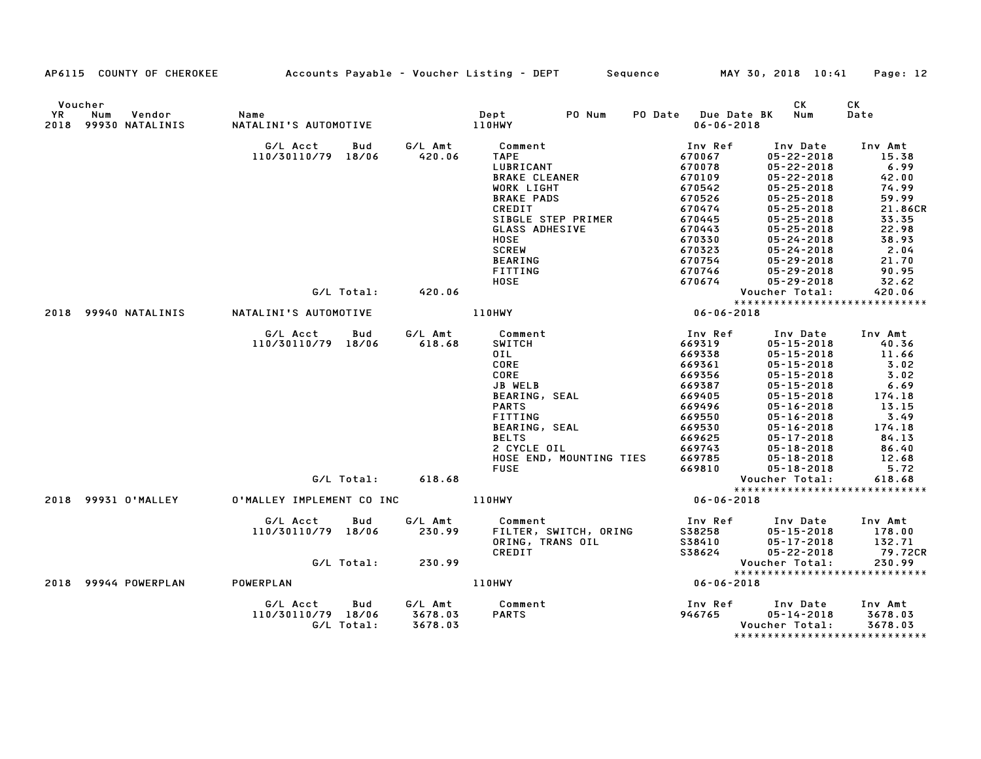|    | AP6115 COUNTY OF CHEROKEE                        | Accounts Payable – Voucher Listing – DEPT           |                               | Sequence                                                                                                                                                                                                     | MAY 30, 2018 10:41                                                                                                                        |                                                                                                                                                                                                                                                                  | Page: 12                                                                                                                  |
|----|--------------------------------------------------|-----------------------------------------------------|-------------------------------|--------------------------------------------------------------------------------------------------------------------------------------------------------------------------------------------------------------|-------------------------------------------------------------------------------------------------------------------------------------------|------------------------------------------------------------------------------------------------------------------------------------------------------------------------------------------------------------------------------------------------------------------|---------------------------------------------------------------------------------------------------------------------------|
| YR | Voucher<br>Num<br>Vendor<br>2018 99930 NATALINIS | Name<br>NATALINI'S AUTOMOTIVE                       |                               | PO Num<br>Dept<br>110HWY                                                                                                                                                                                     | PO Date Due Date BK<br>$06 - 06 - 2018$                                                                                                   | CK<br>Num                                                                                                                                                                                                                                                        | СK<br>Date                                                                                                                |
|    |                                                  | G/L Acct<br>Bud<br>110/30110/79 18/06               | G/L Amt<br>420.06             | Comment<br><b>TAPE</b><br>LUBRICANT<br><b>BRAKE CLEANER</b><br>WORK LIGHT<br><b>BRAKE PADS</b><br>CREDIT<br>SIBGLE STEP PRIMER<br>GLASS ADHESIVE<br><b>HOSE</b><br><b>SCREW</b><br><b>BEARING</b><br>FITTING | Inv Ref<br>670067<br>670078<br>670109<br>670542<br>670526<br>670474<br>670445<br>670443<br>670330<br>670323<br>670754<br>670746           | Inv Date<br>$05 - 22 - 2018$<br>$05 - 22 - 2018$<br>$05 - 22 - 2018$<br>$05 - 25 - 2018$<br>$05 - 25 - 2018$<br>$05 - 25 - 2018$<br>$05 - 25 - 2018$<br>$05 - 25 - 2018$<br>$05 - 24 - 2018$<br>$05 - 24 - 2018$<br>$05 - 29 - 2018$<br>$05 - 29 - 2018$         | Inv Amt<br>15.38<br>6.99<br>42.00<br>74.99<br>59.99<br>21.86CR<br>33.35<br>22.98<br>38.93<br>2.04<br>21.70<br>90.95       |
|    |                                                  |                                                     |                               | HOSE                                                                                                                                                                                                         | 670674                                                                                                                                    | $05 - 29 - 2018$                                                                                                                                                                                                                                                 | 32.62                                                                                                                     |
|    |                                                  | G/L Total: 420.06                                   |                               |                                                                                                                                                                                                              |                                                                                                                                           | Voucher Total:                                                                                                                                                                                                                                                   | 420.06<br>******************************                                                                                  |
|    | 2018 99940 NATALINIS                             | NATALINI'S AUTOMOTIVE                               |                               | 110HWY                                                                                                                                                                                                       | $06 - 06 - 2018$                                                                                                                          |                                                                                                                                                                                                                                                                  |                                                                                                                           |
|    |                                                  | G/L Acct<br>Bud<br>110/30110/79 18/06               | G/L Amt<br>618.68             | Comment<br><b>SWITCH</b><br>OIL<br>CORE<br>CORE<br>JB WELB<br><b>BEARING, SEAL</b><br><b>PARTS</b><br>FITTING<br>BEARING, SEAL<br><b>BELTS</b><br>2 CYCLE OIL<br>HOSE END, MOUNTING TIES<br><b>FUSE</b>      | Inv Ref<br>669319<br>669338<br>669361<br>669356<br>669387<br>669405<br>669496<br>669550<br>669530<br>669625<br>669743<br>669785<br>669810 | Inv Date<br>$05 - 15 - 2018$<br>$05 - 15 - 2018$<br>$05 - 15 - 2018$<br>$05 - 15 - 2018$<br>$05 - 15 - 2018$<br>$05 - 15 - 2018$<br>$05 - 16 - 2018$<br>05-16-2018<br>$05 - 16 - 2018$<br>$05 - 17 - 2018$<br>$05 - 18 - 2018$<br>05-18-2018<br>$05 - 18 - 2018$ | Inv Amt<br>40.36<br>11.66<br>3.02<br>3.02<br>6.69<br>174.18<br>13.15<br>3.49<br>174.18<br>84.13<br>86.40<br>12.68<br>5.72 |
|    |                                                  | G/L Total:                                          | 618.68                        |                                                                                                                                                                                                              |                                                                                                                                           | Voucher Total:                                                                                                                                                                                                                                                   | 618.68<br>*****************************                                                                                   |
|    | 2018 99931 O'MALLEY                              | O'MALLEY IMPLEMENT CO INC                           |                               | 110HWY                                                                                                                                                                                                       | $06 - 06 - 2018$                                                                                                                          |                                                                                                                                                                                                                                                                  |                                                                                                                           |
|    |                                                  | G/L Acct<br>Bud<br>110/30110/79 18/06               | G/L Amt<br>230.99             | Comment<br>FILTER, SWITCH, ORING<br>ORING, TRANS OIL<br>CREDIT                                                                                                                                               | Inv Ref<br>S38258<br>S38410<br>S38624                                                                                                     | Inv Date<br>$05 - 15 - 2018$<br>05-17-2018<br>05-22-2018                                                                                                                                                                                                         | Inv Amt<br>178.00<br>132.71<br>79.72CR                                                                                    |
|    |                                                  | G/L Total:                                          | 230.99                        |                                                                                                                                                                                                              |                                                                                                                                           | Voucher Total:                                                                                                                                                                                                                                                   | 230.99                                                                                                                    |
|    | 2018 99944 POWERPLAN                             | POWERPLAN                                           |                               | <b>110HWY</b>                                                                                                                                                                                                | $06 - 06 - 2018$                                                                                                                          |                                                                                                                                                                                                                                                                  | *****************************                                                                                             |
|    |                                                  | G/L Acct<br>Bud<br>110/30110/79 18/06<br>G/L Total: | G/L Amt<br>3678.03<br>3678.03 | Comment<br><b>PARTS</b>                                                                                                                                                                                      | Inv Ref<br>946765                                                                                                                         | Inv Date<br>$05 - 14 - 2018$<br>Voucher Total:                                                                                                                                                                                                                   | Inv Amt<br>3678.03<br>3678.03                                                                                             |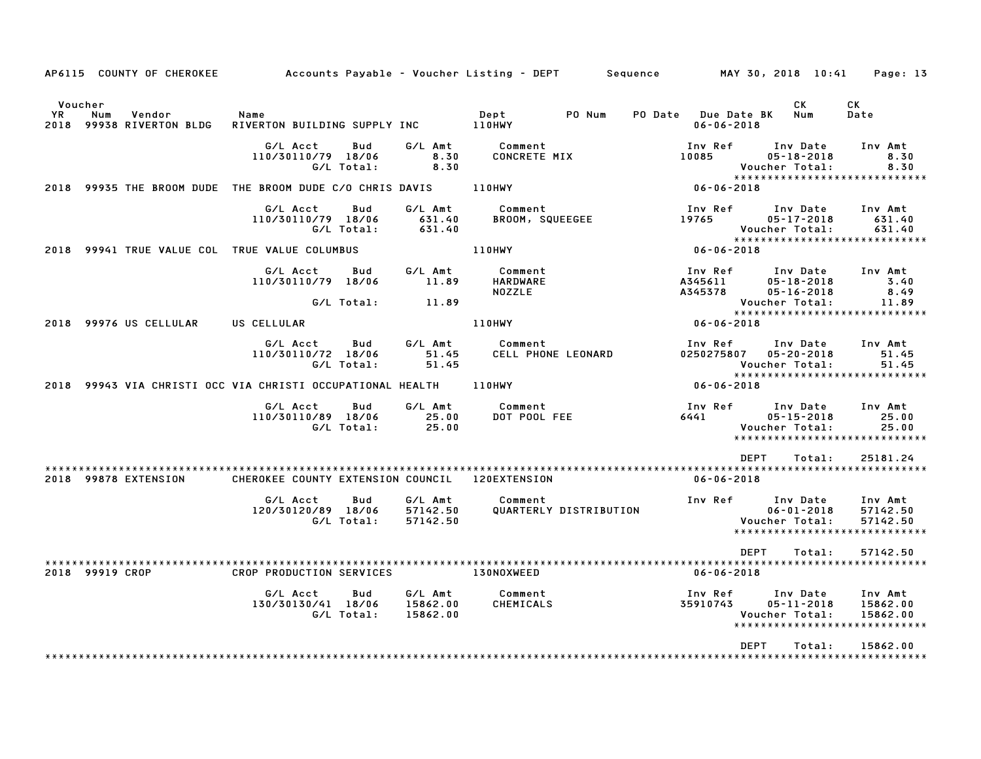|                        | AP6115 COUNTY OF CHEROKEE                | Accounts Payable – Voucher Listing – DEPT                  |                                 |                                      | Sequence                                | MAY 30, 2018 10:41<br>Page: 13                                                                                     |
|------------------------|------------------------------------------|------------------------------------------------------------|---------------------------------|--------------------------------------|-----------------------------------------|--------------------------------------------------------------------------------------------------------------------|
| Voucher<br>YR.<br>2018 | Num<br>Vendor<br>99938 RIVERTON BLDG     | Name<br>RIVERTON BUILDING SUPPLY INC                       |                                 | PO Num<br>Dept<br>110HWY             | PO Date Due Date BK<br>$06 - 06 - 2018$ | СK<br>CK<br>Num<br>Date                                                                                            |
|                        |                                          | G/L Acct<br>Bud<br>110/30110/79 18/06<br>G/L Total:        | G/L Amt<br>8.30<br>8.30         | Comment<br><b>CONCRETE MIX</b>       | Inv Ref<br>10085                        | Inv Date<br>Inv Amt<br>$05 - 18 - 2018$<br>8.30<br>Voucher Total:<br>8.30                                          |
| 2018                   |                                          | 99935 THE BROOM DUDE THE BROOM DUDE C/O CHRIS DAVIS        |                                 | <b>110HWY</b>                        | $06 - 06 - 2018$                        | *****************************                                                                                      |
|                        |                                          | G/L Acct<br>Bud<br>110/30110/79 18/06<br>G/L Total:        | G/L Amt<br>631.40<br>631.40     | Comment<br>BROOM, SQUEEGEE           | Inv Ref<br>19765                        | Inv Date<br>Inv Amt<br>$05 - 17 - 2018$<br>631.40<br>631.40<br>Voucher Total:                                      |
| 2018                   | 99941 TRUE VALUE COL TRUE VALUE COLUMBUS |                                                            |                                 | <b>110HWY</b>                        | $06 - 06 - 2018$                        | *****************************                                                                                      |
|                        |                                          | G/L Acct<br>Bud<br>110/30110/79 18/06                      | G/L Amt<br>11.89                | Comment<br>HARDWARE<br><b>NOZZLE</b> | Inv Ref<br>A345611<br>A345378           | Inv Date<br>Inv Amt<br>$05 - 18 - 2018$<br>3.40<br>$05 - 16 - 2018$<br>8.49                                        |
|                        |                                          | G/L Total:                                                 | 11.89                           |                                      |                                         | Voucher Total:<br>11.89<br>******************************                                                          |
|                        | 2018 99976 US CELLULAR                   | US CELLULAR                                                |                                 | <b>110HWY</b>                        | 06-06-2018                              |                                                                                                                    |
|                        |                                          | G/L Acct<br>Bud<br>110/30110/72 18/06<br>G/L Total:        | G/L Amt<br>51.45<br>51.45       | Comment<br>CELL PHONE LEONARD        | Inv Ref<br>0250275807  05-20-2018       | Inv Date<br>Inv Amt<br>51.45<br>Voucher Total:<br>51.45<br>*****************************                           |
|                        |                                          | 2018 99943 VIA CHRISTI OCC VIA CHRISTI OCCUPATIONAL HEALTH |                                 | <b>110HWY</b>                        | $06 - 06 - 2018$                        |                                                                                                                    |
|                        |                                          | G/L Acct<br>Bud<br>110/30110/89 18/06<br>G/L Total:        | G/L Amt<br>25.00<br>25.00       | Comment<br>DOT POOL FEE              | Inv Ref<br>6441                         | Inv Date<br>Inv Amt<br>25.00<br>$05 - 15 - 2018$<br>25.00<br>Voucher Total:<br>*****************************       |
|                        |                                          |                                                            |                                 |                                      | DEPT                                    | 25181.24<br>Total:                                                                                                 |
|                        | 2018 99878 EXTENSION                     | CHEROKEE COUNTY EXTENSION COUNCIL 120EXTENSION             |                                 |                                      | $06 - 06 - 2018$                        |                                                                                                                    |
|                        |                                          | G/L Acct<br>Bud<br>120/30120/89 18/06<br>G/L Total:        | G/L Amt<br>57142.50<br>57142.50 | Comment<br>QUARTERLY DISTRIBUTION    | Inv Ref                                 | Inv Date<br>Inv Amt<br>$06 - 01 - 2018$<br>57142.50<br>Voucher Total:<br>57142.50<br>***************************** |
|                        |                                          |                                                            |                                 |                                      | <b>DEPT</b>                             | Total:<br>57142.50                                                                                                 |
|                        | 2018 99919 CROP                          | CROP PRODUCTION SERVICES                                   |                                 | 130NOXWEED                           | $06 - 06 - 2018$                        |                                                                                                                    |
|                        |                                          | G/L Acct<br>Bud<br>130/30130/41 18/06<br>G/L Total:        | G/L Amt<br>15862.00<br>15862.00 | Comment<br>CHEMICALS                 | Inv Ref<br>35910743                     | Inv Amt<br>Inv Date<br>$05 - 11 - 2018$<br>15862.00<br>Voucher Total:<br>15862.00<br>***************************** |
|                        |                                          |                                                            |                                 |                                      | <b>DEPT</b>                             | 15862.00<br>Total:                                                                                                 |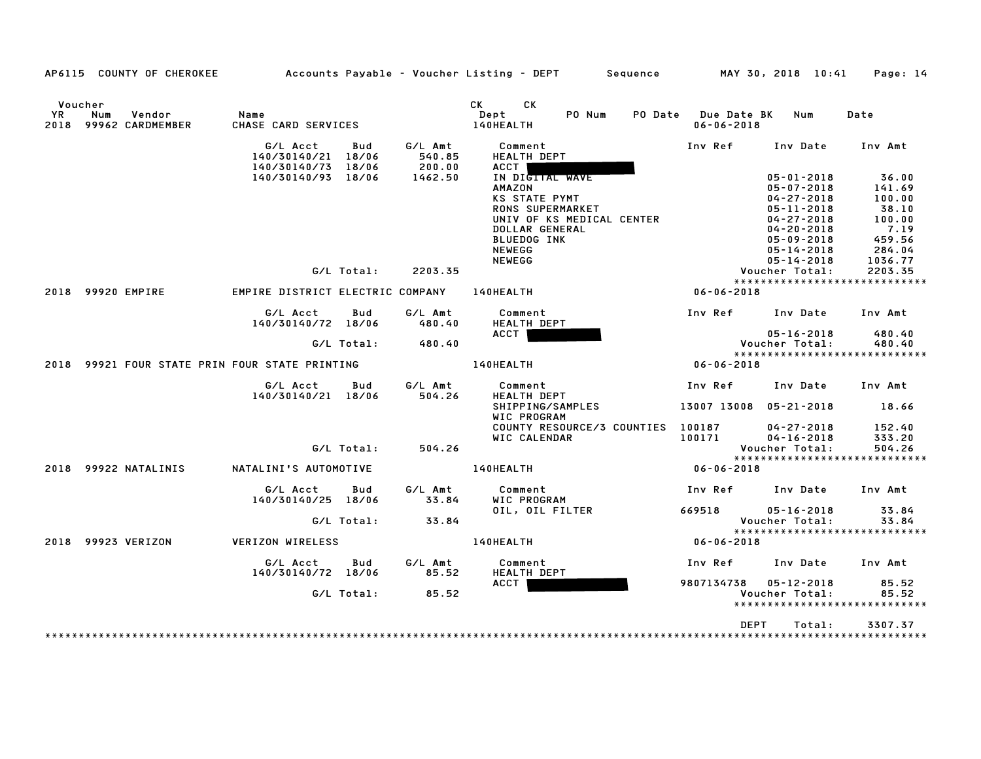|                        | AP6115 COUNTY OF CHEROKEE         |                                                      |            |                             | Accounts Payable – Voucher Listing – DEPT         Sequence                                                                                                         |                                         | MAY 30, 2018 10:41                                                                                                                                     | Page: 14                                                                 |
|------------------------|-----------------------------------|------------------------------------------------------|------------|-----------------------------|--------------------------------------------------------------------------------------------------------------------------------------------------------------------|-----------------------------------------|--------------------------------------------------------------------------------------------------------------------------------------------------------|--------------------------------------------------------------------------|
| Voucher<br>YR.<br>2018 | Num<br>Vendor<br>99962 CARDMEMBER | Name<br>CHASE CARD SERVICES                          |            |                             | <b>CK</b><br>CK.<br>PO Num<br>Dept<br>140HEALTH                                                                                                                    | PO Date Due Date BK<br>$06 - 06 - 2018$ | Num                                                                                                                                                    | Date                                                                     |
|                        |                                   | G/L Acct<br>140/30140/21 18/06<br>140/30140/73 18/06 | Bud        | G/L Amt<br>540.85<br>200.00 | Comment<br>HEALTH DEPT<br><b>ACCT</b>                                                                                                                              | Inv Ref                                 | Inv Date                                                                                                                                               | Inv Amt                                                                  |
|                        |                                   | 140/30140/93 18/06                                   |            | 1462.50                     | IN DIGTTAL WAVE<br><b>AMAZON</b><br><b>KS STATE PYMT</b><br>RONS SUPERMARKET<br>UNIV OF KS MEDICAL CENTER<br>DOLLAR GENERAL<br><b>BLUEDOG INK</b><br><b>NEWEGG</b> |                                         | $05 - 01 - 2018$<br>$05 - 07 - 2018$<br>$04 - 27 - 2018$<br>$05 - 11 - 2018$<br>$04 - 27 - 2018$<br>$04 - 20 - 2018$<br>05-09-2018<br>$05 - 14 - 2018$ | 36.00<br>141.69<br>100.00<br>38.10<br>100.00<br>7.19<br>459.56<br>284.04 |
|                        |                                   |                                                      | G/L Total: | 2203.35                     | <b>NEWEGG</b>                                                                                                                                                      |                                         | $05 - 14 - 2018$<br>Voucher Total:                                                                                                                     | 1036.77<br>2203.35<br>*****************************                      |
| 2018                   | 99920 EMPIRE                      | EMPIRE DISTRICT ELECTRIC COMPANY                     |            |                             | 140HEALTH                                                                                                                                                          | $06 - 06 - 2018$                        |                                                                                                                                                        |                                                                          |
|                        |                                   | G/L Acct<br>140/30140/72 18/06                       | Bud        | G/L Amt<br>480.40           | Comment<br><b>HEALTH DEPT</b>                                                                                                                                      | Inv Ref Inv Date                        |                                                                                                                                                        | Inv Amt                                                                  |
|                        |                                   |                                                      | G/L Total: | 480.40                      | ACCT                                                                                                                                                               |                                         | $05 - 16 - 2018$<br>Voucher Total:                                                                                                                     | 480.40<br>480.40                                                         |
|                        |                                   | 2018 99921 FOUR STATE PRIN FOUR STATE PRINTING       |            |                             | 140HEALTH                                                                                                                                                          | $06 - 06 - 2018$                        |                                                                                                                                                        | *****************************                                            |
|                        |                                   |                                                      |            |                             |                                                                                                                                                                    |                                         |                                                                                                                                                        |                                                                          |
|                        |                                   | G/L Acct<br>140/30140/21 18/06                       | Bud        | G/L Amt<br>504.26           | Comment<br>HEALTH DEPT                                                                                                                                             | Inv Ref                                 | Inv Date                                                                                                                                               | Inv Amt<br>18.66                                                         |
|                        |                                   |                                                      |            |                             | SHIPPING/SAMPLES<br>WIC PROGRAM                                                                                                                                    | 13007 13008 05-21-2018                  |                                                                                                                                                        |                                                                          |
|                        |                                   |                                                      | G/L Total: | 504.26                      | COUNTY RESOURCE/3 COUNTIES 100187<br>WIC CALENDAR                                                                                                                  | 100171                                  | $04 - 27 - 2018$<br>$04 - 16 - 2018$<br>Voucher Total:                                                                                                 | 152.40<br>333.20<br>504.26                                               |
|                        |                                   |                                                      |            |                             |                                                                                                                                                                    |                                         |                                                                                                                                                        | *****************************                                            |
|                        | 2018 99922 NATALINIS              | NATALINI'S AUTOMOTIVE                                |            |                             | 140HEALTH                                                                                                                                                          | 06-06-2018                              |                                                                                                                                                        |                                                                          |
|                        |                                   | G/L Acct<br>140/30140/25 18/06                       | Bud        | G/L Amt<br>33.84            | Comment<br>WIC PROGRAM                                                                                                                                             | Inv Ref                                 | Inv Date                                                                                                                                               | Inv Amt                                                                  |
|                        |                                   |                                                      | G/L Total: | 33.84                       | OIL, OIL FILTER                                                                                                                                                    | 669518                                  | $05 - 16 - 2018$<br>Voucher Total:                                                                                                                     | 33.84<br>33.84                                                           |
|                        | 2018 99923 VERIZON                | <b>VERIZON WIRELESS</b>                              |            |                             | 140HEALTH                                                                                                                                                          | $06 - 06 - 2018$                        |                                                                                                                                                        | ******************************                                           |
|                        |                                   | G/L Acct<br>140/30140/72 18/06                       | Bud        | G/L Amt<br>85.52            | Comment<br>HEALTH DEPT                                                                                                                                             | Inv Ref                                 | Inv Date                                                                                                                                               | Inv Amt                                                                  |
|                        |                                   |                                                      | G/L Total: | 85.52                       | ACCT                                                                                                                                                               | 9807134738 05-12-2018                   | Voucher Total:                                                                                                                                         | 85.52<br>85.52<br>*****************************                          |
|                        |                                   |                                                      |            |                             |                                                                                                                                                                    |                                         |                                                                                                                                                        |                                                                          |
|                        |                                   |                                                      |            |                             |                                                                                                                                                                    | DEPT                                    | Total:                                                                                                                                                 | 3307.37                                                                  |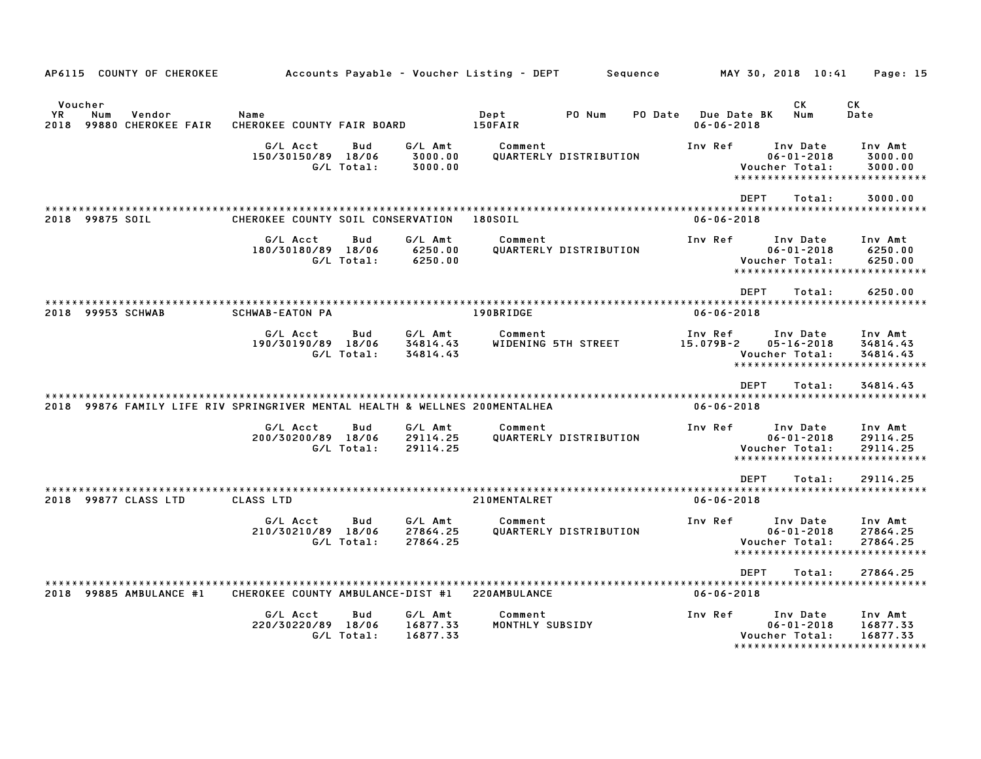| AP6115 COUNTY OF CHEROKEE                                                   |                                    |                   |                                 | Accounts Payable - Voucher Listing - DEPT | Sequence               |         |                                        | MAY 30, 2018 10:41                                                   | Page: 15                                                         |
|-----------------------------------------------------------------------------|------------------------------------|-------------------|---------------------------------|-------------------------------------------|------------------------|---------|----------------------------------------|----------------------------------------------------------------------|------------------------------------------------------------------|
| Voucher<br>YR.<br>Num<br>Vendor<br>2018 99880 CHEROKEE FAIR                 | Name<br>CHEROKEE COUNTY FAIR BOARD |                   |                                 | Dept<br>150FAIR                           | PO Num                 | PO Date | <b>Due Date BK</b><br>$06 - 06 - 2018$ | CK<br>Num                                                            | CK.<br>Date                                                      |
|                                                                             | G/L Acct<br>150/30150/89 18/06     | Bud<br>G/L Total: | G/L Amt<br>3000.00<br>3000.00   | Comment                                   | QUARTERLY DISTRIBUTION |         | Inv Ref                                | Inv Date<br>$06 - 01 - 2018$<br>Voucher Total:                       | Inv Amt<br>3000.00<br>3000.00<br>*****************************   |
| 2018 99875 SOIL                                                             | CHEROKEE COUNTY SOIL CONSERVATION  |                   |                                 | 180S0IL                                   |                        |         | $06 - 06 - 2018$                       | <b>DEPT</b><br>Total:                                                | 3000.00                                                          |
|                                                                             | G/L Acct<br>180/30180/89 18/06     | Bud<br>G/L Total: | G/L Amt<br>6250.00<br>6250.00   | Comment                                   | QUARTERLY DISTRIBUTION |         | Inv Ref                                | Inv Date<br>$06 - 01 - 2018$<br>Voucher Total:                       | Inv Amt<br>6250.00<br>6250.00<br>*****************************   |
| 2018 99953 SCHWAB                                                           | <b>SCHWAB-EATON PA</b>             |                   |                                 | 190BRIDGE                                 |                        |         | $06 - 06 - 2018$                       | <b>DEPT</b><br>Total:                                                | 6250.00                                                          |
|                                                                             | G/L Acct<br>190/30190/89 18/06     | Bud<br>G/L Total: | G/L Amt<br>34814.43<br>34814.43 | Comment                                   | WIDENING 5TH STREET    |         | Inv Ref<br>15.079B-2                   | Inv Date<br>$05 - 16 - 2018$<br>Voucher Total:                       | Inv Amt<br>34814.43<br>34814.43<br>***************************** |
| 2018 99876 FAMILY LIFE RIV SPRINGRIVER MENTAL HEALTH & WELLNES 200MENTALHEA |                                    |                   |                                 |                                           |                        |         | $06 - 06 - 2018$                       | <b>DEPT</b><br>Total:                                                | 34814.43                                                         |
|                                                                             | G/L Acct<br>200/30200/89 18/06     | Bud<br>G/L Total: | G/L Amt<br>29114.25<br>29114.25 | Comment                                   | QUARTERLY DISTRIBUTION |         | Inv Ref                                | Inv Date<br>$06 - 01 - 2018$<br>Voucher Total:                       | Inv Amt<br>29114.25<br>29114.25<br>***************************** |
| 2018 99877 CLASS LTD                                                        | CLASS LTD                          |                   |                                 | 210MENTALRET                              |                        |         | $06 - 06 - 2018$                       | <b>DEPT</b><br>Total:                                                | 29114.25                                                         |
|                                                                             | G/L Acct<br>210/30210/89 18/06     | Bud<br>G/L Total: | G/L Amt<br>27864.25<br>27864.25 | Comment                                   | QUARTERLY DISTRIBUTION |         | Inv Ref                                | Inv Date<br>$06 - 01 - 2018$<br>Voucher Total:                       | Inv Amt<br>27864.25<br>27864.25<br>***************************** |
| 2018 99885 AMBULANCE #1                                                     | CHEROKEE COUNTY AMBULANCE-DIST #1  |                   |                                 | 220AMBULANCE                              |                        |         | $06 - 06 - 2018$                       | <b>DEPT</b><br>Total:                                                | 27864.25                                                         |
|                                                                             | G/L Acct<br>220/30220/89 18/06     | Bud<br>G/L Total: | G/L Amt<br>16877.33<br>16877.33 | Comment<br>MONTHLY SUBSIDY                |                        |         | Inv Ref                                | Inv Date<br>$06 - 01 - 2018$<br>Voucher Total:<br>****************** | Inv Amt<br>16877.33<br>16877.33                                  |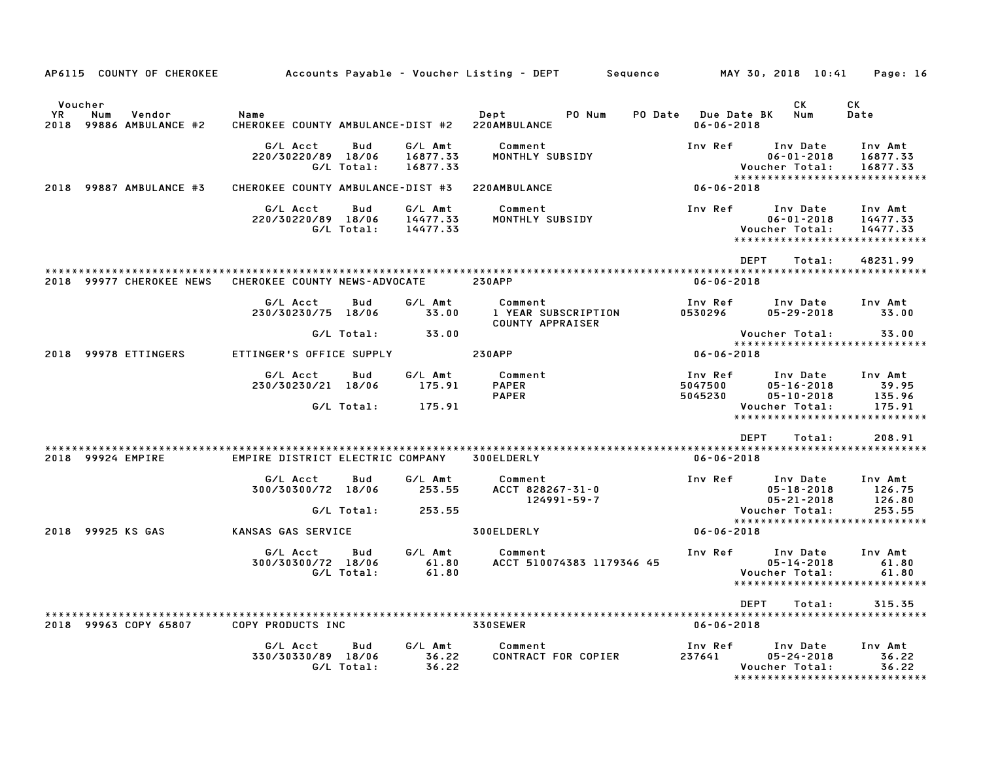| AP6115 COUNTY OF CHEROKEE                                        |                                                        |                   |                                 | Accounts Payable – Voucher Listing – DEPT         Sequence |                                         | MAY 30, 2018 10:41                                                                                  | Page: 16                              |
|------------------------------------------------------------------|--------------------------------------------------------|-------------------|---------------------------------|------------------------------------------------------------|-----------------------------------------|-----------------------------------------------------------------------------------------------------|---------------------------------------|
| Voucher<br><b>YR</b><br>Num<br>Vendor<br>2018 99886 AMBULANCE #2 | Name<br>CHEROKEE COUNTY AMBULANCE-DIST #2 220AMBULANCE |                   |                                 | <b>Dept</b><br>PO Num                                      | PO Date Due Date BK<br>$06 - 06 - 2018$ | CK<br>Num                                                                                           | CK<br>Date                            |
|                                                                  | G/L Acct<br>220/30220/89 18/06                         | Bud<br>G/L Total: | G/L Amt<br>16877.33<br>16877.33 | Comment<br>MONTHLY SUBSIDY                                 | Inv Ref                                 | Inv Date<br>$06 - 01 - 2018$<br>Voucher Total:<br>*****************************                     | Inv Amt<br>16877.33<br>16877.33       |
| 2018 99887 AMBULANCE #3                                          | CHEROKEE COUNTY AMBULANCE-DIST #3                      |                   |                                 | 220AMBULANCE                                               | $06 - 06 - 2018$                        |                                                                                                     |                                       |
|                                                                  | G/L Acct<br>220/30220/89 18/06                         | Bud<br>G/L Total: | G/L Amt<br>14477.33<br>14477.33 | Comment<br>MONTHLY SUBSIDY                                 | Inv Ref                                 | Inv Date<br>$06 - 01 - 2018$<br>Voucher Total:<br>******************************                    | Inv Amt<br>14477.33<br>14477.33       |
|                                                                  |                                                        |                   |                                 |                                                            |                                         | <b>DEPT</b><br>Total:                                                                               | 48231.99                              |
| 2018 99977 CHEROKEE NEWS                                         | CHEROKEE COUNTY NEWS-ADVOCATE                          |                   |                                 | <b>230APP</b>                                              | $06 - 06 - 2018$                        |                                                                                                     |                                       |
|                                                                  | G/L Acct<br>230/30230/75 18/06                         | Bud               | G/L Amt<br>33.00                | Comment<br>1 YEAR SUBSCRIPTION<br><b>COUNTY APPRAISER</b>  | Inv Ref<br>0530296                      | Inv Date<br>05-29-2018                                                                              | Inv Amt<br>33.00                      |
|                                                                  |                                                        | G/L Total:        | 33.00                           |                                                            |                                         | Voucher Total:                                                                                      | 33.00                                 |
| 2018 99978 ETTINGERS                                             | ETTINGER'S OFFICE SUPPLY                               |                   |                                 | <b>230APP</b>                                              | $06 - 06 - 2018$                        | *****************************                                                                       |                                       |
|                                                                  | G/L Acct<br>230/30230/21 18/06                         | Bud<br>G/L Total: | G/L Amt<br>175.91<br>175.91     | Comment<br><b>PAPER</b><br><b>PAPER</b>                    | Inv Ref<br>5047500<br>5045230           | Inv Date<br>$05 - 16 - 2018$<br>$05 - 10 - 2018$<br>Voucher Total:<br>***************************** | Inv Amt<br>39.95<br>135.96<br>175.91  |
|                                                                  |                                                        |                   |                                 |                                                            |                                         |                                                                                                     |                                       |
|                                                                  |                                                        |                   |                                 |                                                            |                                         | <b>DEPT</b><br>Total:                                                                               | 208.91                                |
| 2018 99924 EMPIRE                                                | EMPIRE DISTRICT ELECTRIC COMPANY                       |                   |                                 | 300ELDERLY                                                 | $06 - 06 - 2018$                        |                                                                                                     |                                       |
|                                                                  | G/L Acct<br>300/30300/72 18/06                         | Bud<br>G/L Total: | G/L Amt<br>253.55<br>253.55     | Comment<br>ACCT 828267-31-0<br>124991-59-7                 | Inv Ref                                 | Inv Date<br>$05 - 18 - 2018$<br>$05 - 21 - 2018$<br>Voucher Total:                                  | Inv Amt<br>126.75<br>126.80<br>253.55 |
|                                                                  |                                                        |                   |                                 |                                                            |                                         | *****************************                                                                       |                                       |
| 2018 99925 KS GAS                                                | KANSAS GAS SERVICE                                     |                   |                                 | 300ELDERLY                                                 | 06-06-2018                              |                                                                                                     |                                       |
|                                                                  | G/L Acct<br>300/30300/72 18/06                         | Bud<br>G/L Total: | G/L Amt<br>61.80<br>61.80       | Comment<br>ACCT 510074383 1179346 45                       | Inv Ref                                 | Inv Date<br>$05 - 14 - 2018$<br>Voucher Total:<br>*****************************                     | Inv Amt<br>61.80<br>61.80             |
|                                                                  |                                                        |                   |                                 |                                                            |                                         | DEPT<br>Total:                                                                                      | 315.35                                |
| 2018 99963 COPY 65807                                            | COPY PRODUCTS INC                                      |                   |                                 | 330SEWER                                                   | $06 - 06 - 2018$                        |                                                                                                     |                                       |
|                                                                  | G/L Acct<br>330/30330/89 18/06                         | Bud<br>G/L Total: | G/L Amt<br>36.22<br>36.22       | Comment<br>CONTRACT FOR COPIER                             | Inv Ref<br>237641                       | Inv Date<br>$05 - 24 - 2018$<br>Voucher Total:<br>*****************************                     | Inv Amt<br>36.22<br>36.22             |